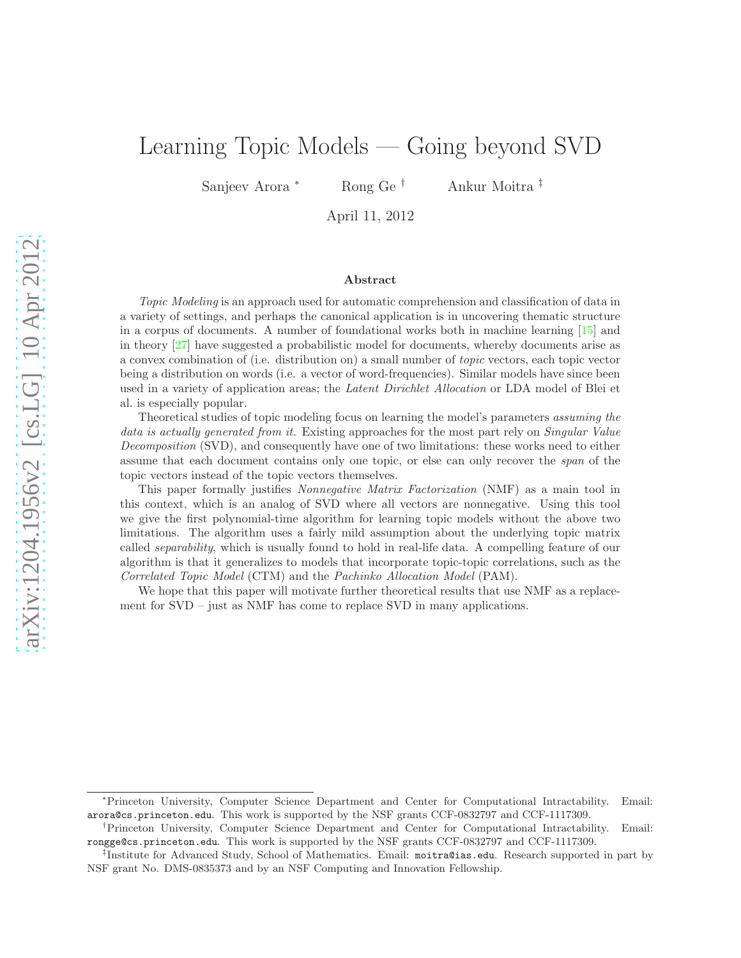# <span id="page-0-0"></span>Learning Topic Models — Going beyond SVD

Sanjeev Arora <sup>∗</sup> Rong Ge † Ankur Moitra ‡

April 11, 2012

#### Abstract

Topic Modeling is an approach used for automatic comprehension and classification of data in a variety of settings, and perhaps the canonical application is in uncovering thematic structure in a corpus of documents. A number of foundational works both in machine learning [\[15\]](#page-19-0) and in theory [\[27\]](#page-20-0) have suggested a probabilistic model for documents, whereby documents arise as a convex combination of (i.e. distribution on) a small number of topic vectors, each topic vector being a distribution on words (i.e. a vector of word-frequencies). Similar models have since been used in a variety of application areas; the *Latent Dirichlet Allocation* or LDA model of Blei et al. is especially popular.

Theoretical studies of topic modeling focus on learning the model's parameters assuming the data is actually generated from it. Existing approaches for the most part rely on Singular Value Decomposition (SVD), and consequently have one of two limitations: these works need to either assume that each document contains only one topic, or else can only recover the span of the topic vectors instead of the topic vectors themselves.

This paper formally justifies Nonnegative Matrix Factorization (NMF) as a main tool in this context, which is an analog of SVD where all vectors are nonnegative. Using this tool we give the first polynomial-time algorithm for learning topic models without the above two limitations. The algorithm uses a fairly mild assumption about the underlying topic matrix called separability, which is usually found to hold in real-life data. A compelling feature of our algorithm is that it generalizes to models that incorporate topic-topic correlations, such as the Correlated Topic Model (CTM) and the Pachinko Allocation Model (PAM).

We hope that this paper will motivate further theoretical results that use NMF as a replacement for SVD – just as NMF has come to replace SVD in many applications.

<sup>∗</sup>Princeton University, Computer Science Department and Center for Computational Intractability. Email: arora@cs.princeton.edu. This work is supported by the NSF grants CCF-0832797 and CCF-1117309.

<sup>†</sup>Princeton University, Computer Science Department and Center for Computational Intractability. Email: rongge@cs.princeton.edu. This work is supported by the NSF grants CCF-0832797 and CCF-1117309.

<sup>‡</sup> Institute for Advanced Study, School of Mathematics. Email: moitra@ias.edu. Research supported in part by NSF grant No. DMS-0835373 and by an NSF Computing and Innovation Fellowship.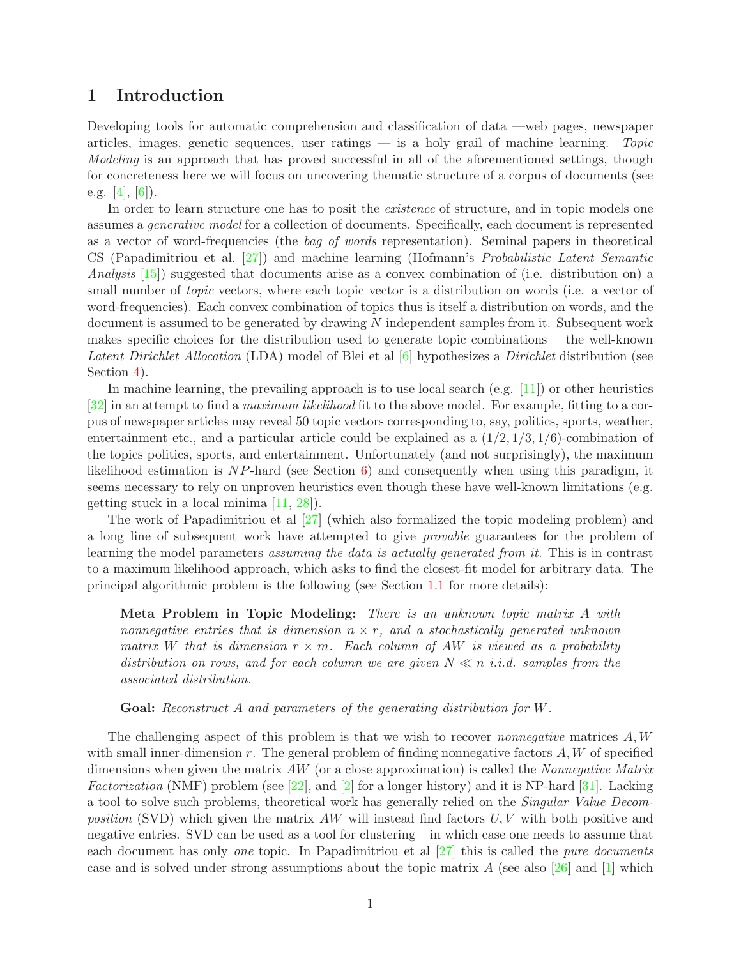# <span id="page-1-0"></span>1 Introduction

Developing tools for automatic comprehension and classification of data —web pages, newspaper articles, images, genetic sequences, user ratings — is a holy grail of machine learning. Topic Modeling is an approach that has proved successful in all of the aforementioned settings, though for concreteness here we will focus on uncovering thematic structure of a corpus of documents (see e.g. [\[4\]](#page-19-1), [\[6\]](#page-19-2)).

In order to learn structure one has to posit the *existence* of structure, and in topic models one assumes a generative model for a collection of documents. Specifically, each document is represented as a vector of word-frequencies (the bag of words representation). Seminal papers in theoretical CS (Papadimitriou et al. [\[27\]](#page-20-0)) and machine learning (Hofmann's Probabilistic Latent Semantic Analysis [\[15\]](#page-19-0)) suggested that documents arise as a convex combination of (i.e. distribution on) a small number of *topic* vectors, where each topic vector is a distribution on words (i.e. a vector of word-frequencies). Each convex combination of topics thus is itself a distribution on words, and the document is assumed to be generated by drawing N independent samples from it. Subsequent work makes specific choices for the distribution used to generate topic combinations —the well-known Latent Dirichlet Allocation (LDA) model of Blei et al [\[6\]](#page-19-2) hypothesizes a Dirichlet distribution (see Section [4\)](#page-13-0).

In machine learning, the prevailing approach is to use local search (e.g. [\[11\]](#page-19-3)) or other heuristics [\[32\]](#page-20-1) in an attempt to find a maximum likelihood fit to the above model. For example, fitting to a corpus of newspaper articles may reveal 50 topic vectors corresponding to, say, politics, sports, weather, entertainment etc., and a particular article could be explained as a  $(1/2, 1/3, 1/6)$ -combination of the topics politics, sports, and entertainment. Unfortunately (and not surprisingly), the maximum likelihood estimation is  $NP$ -hard (see Section [6\)](#page-17-0) and consequently when using this paradigm, it seems necessary to rely on unproven heuristics even though these have well-known limitations (e.g. getting stuck in a local minima [\[11,](#page-19-3) [28\]](#page-20-2)).

The work of Papadimitriou et al [\[27\]](#page-20-0) (which also formalized the topic modeling problem) and a long line of subsequent work have attempted to give provable guarantees for the problem of learning the model parameters assuming the data is actually generated from it. This is in contrast to a maximum likelihood approach, which asks to find the closest-fit model for arbitrary data. The principal algorithmic problem is the following (see Section [1.1](#page-2-0) for more details):

Meta Problem in Topic Modeling: There is an unknown topic matrix A with nonnegative entries that is dimension  $n \times r$ , and a stochastically generated unknown matrix W that is dimension  $r \times m$ . Each column of AW is viewed as a probability distribution on rows, and for each column we are given  $N \ll n$  i.i.d. samples from the associated distribution.

Goal: Reconstruct A and parameters of the generating distribution for W.

The challenging aspect of this problem is that we wish to recover *nonnegative* matrices  $A, W$ with small inner-dimension  $r$ . The general problem of finding nonnegative factors  $A, W$  of specified dimensions when given the matrix  $AW$  (or a close approximation) is called the *Nonnegative Matrix* Factorization (NMF) problem (see  $[22]$ , and  $[2]$  for a longer history) and it is NP-hard  $[31]$ . Lacking a tool to solve such problems, theoretical work has generally relied on the Singular Value Decomposition (SVD) which given the matrix  $AW$  will instead find factors  $U, V$  with both positive and negative entries. SVD can be used as a tool for clustering – in which case one needs to assume that each document has only one topic. In Papadimitriou et al  $[27]$  this is called the *pure documents* case and is solved under strong assumptions about the topic matrix A (see also [\[26\]](#page-20-5) and [\[1\]](#page-19-5) which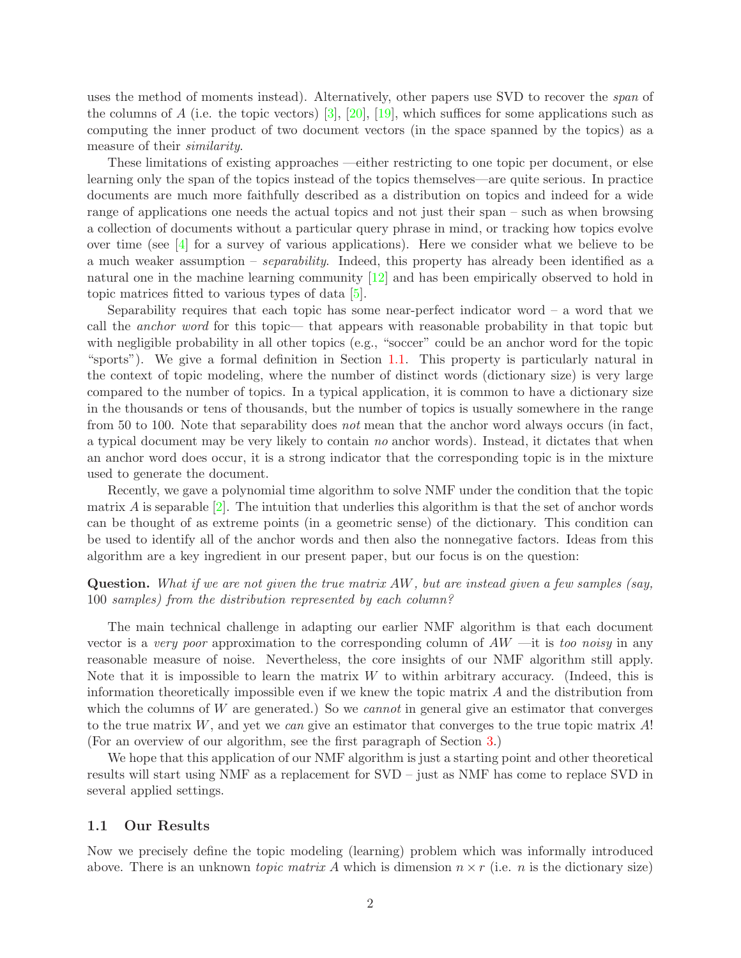uses the method of moments instead). Alternatively, other papers use SVD to recover the *span* of the columns of A (i.e. the topic vectors)  $[3]$ ,  $[20]$ ,  $[19]$ , which suffices for some applications such as computing the inner product of two document vectors (in the space spanned by the topics) as a measure of their similarity.

These limitations of existing approaches —either restricting to one topic per document, or else learning only the span of the topics instead of the topics themselves—are quite serious. In practice documents are much more faithfully described as a distribution on topics and indeed for a wide range of applications one needs the actual topics and not just their span – such as when browsing a collection of documents without a particular query phrase in mind, or tracking how topics evolve over time (see [\[4\]](#page-19-1) for a survey of various applications). Here we consider what we believe to be a much weaker assumption – separability. Indeed, this property has already been identified as a natural one in the machine learning community [\[12\]](#page-19-7) and has been empirically observed to hold in topic matrices fitted to various types of data [\[5\]](#page-19-8).

Separability requires that each topic has some near-perfect indicator word  $-$  a word that we call the *anchor word* for this topic— that appears with reasonable probability in that topic but with negligible probability in all other topics (e.g., "soccer" could be an anchor word for the topic "sports"). We give a formal definition in Section [1.1.](#page-2-0) This property is particularly natural in the context of topic modeling, where the number of distinct words (dictionary size) is very large compared to the number of topics. In a typical application, it is common to have a dictionary size in the thousands or tens of thousands, but the number of topics is usually somewhere in the range from 50 to 100. Note that separability does not mean that the anchor word always occurs (in fact, a typical document may be very likely to contain no anchor words). Instead, it dictates that when an anchor word does occur, it is a strong indicator that the corresponding topic is in the mixture used to generate the document.

Recently, we gave a polynomial time algorithm to solve NMF under the condition that the topic matrix  $\vec{A}$  is separable [\[2\]](#page-19-4). The intuition that underlies this algorithm is that the set of anchor words can be thought of as extreme points (in a geometric sense) of the dictionary. This condition can be used to identify all of the anchor words and then also the nonnegative factors. Ideas from this algorithm are a key ingredient in our present paper, but our focus is on the question:

Question. What if we are not given the true matrix AW, but are instead given a few samples (say, 100 samples) from the distribution represented by each column?

The main technical challenge in adapting our earlier NMF algorithm is that each document vector is a very poor approximation to the corresponding column of  $AW$  —it is too noisy in any reasonable measure of noise. Nevertheless, the core insights of our NMF algorithm still apply. Note that it is impossible to learn the matrix  $W$  to within arbitrary accuracy. (Indeed, this is information theoretically impossible even if we knew the topic matrix A and the distribution from which the columns of  $W$  are generated.) So we *cannot* in general give an estimator that converges to the true matrix  $W$ , and yet we can give an estimator that converges to the true topic matrix  $A!$ (For an overview of our algorithm, see the first paragraph of Section [3.](#page-6-0))

We hope that this application of our NMF algorithm is just a starting point and other theoretical results will start using NMF as a replacement for SVD – just as NMF has come to replace SVD in several applied settings.

## <span id="page-2-0"></span>1.1 Our Results

Now we precisely define the topic modeling (learning) problem which was informally introduced above. There is an unknown *topic matrix A* which is dimension  $n \times r$  (i.e. *n* is the dictionary size)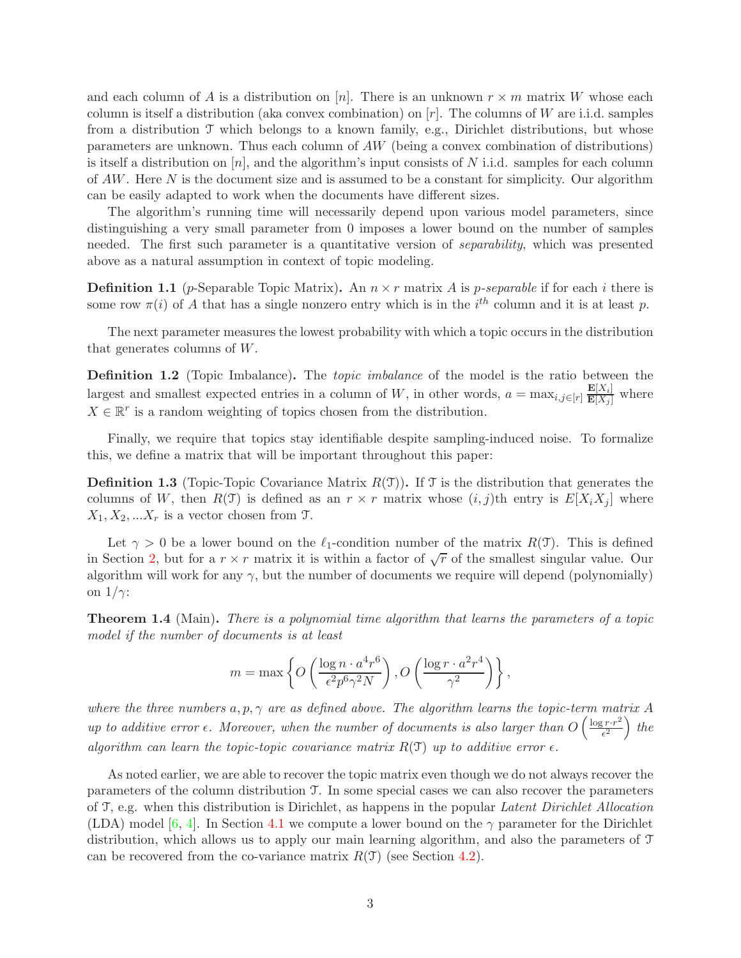and each column of A is a distribution on [n]. There is an unknown  $r \times m$  matrix W whose each column is itself a distribution (aka convex combination) on  $[r]$ . The columns of W are i.i.d. samples from a distribution T which belongs to a known family, e.g., Dirichlet distributions, but whose parameters are unknown. Thus each column of AW (being a convex combination of distributions) is itself a distribution on  $[n]$ , and the algorithm's input consists of N i.i.d. samples for each column of  $AW$ . Here N is the document size and is assumed to be a constant for simplicity. Our algorithm can be easily adapted to work when the documents have different sizes.

The algorithm's running time will necessarily depend upon various model parameters, since distinguishing a very small parameter from 0 imposes a lower bound on the number of samples needed. The first such parameter is a quantitative version of *separability*, which was presented above as a natural assumption in context of topic modeling.

**Definition 1.1** (p-Separable Topic Matrix). An  $n \times r$  matrix A is p-separable if for each i there is some row  $\pi(i)$  of A that has a single nonzero entry which is in the  $i^{th}$  column and it is at least p.

The next parameter measures the lowest probability with which a topic occurs in the distribution that generates columns of W.

**Definition 1.2** (Topic Imbalance). The *topic imbalance* of the model is the ratio between the largest and smallest expected entries in a column of W, in other words,  $a = \max_{i,j \in [r]} \frac{\mathbf{E}[X_i]}{\mathbf{E}[X_j]}$  where  $X \in \mathbb{R}^r$  is a random weighting of topics chosen from the distribution.

Finally, we require that topics stay identifiable despite sampling-induced noise. To formalize this, we define a matrix that will be important throughout this paper:

**Definition 1.3** (Topic-Topic Covariance Matrix  $R(\mathcal{T})$ ). If  $\mathcal{T}$  is the distribution that generates the columns of W, then  $R(\mathcal{T})$  is defined as an  $r \times r$  matrix whose  $(i, j)$ th entry is  $E[X_i X_j]$  where  $X_1, X_2, \ldots X_r$  is a vector chosen from  $\mathfrak{T}$ .

Let  $\gamma > 0$  be a lower bound on the  $\ell_1$ -condition number of the matrix  $R(\mathcal{T})$ . This is defined in Section [2,](#page-4-0) but for a  $r \times r$  matrix it is within a factor of  $\sqrt{r}$  of the smallest singular value. Our algorithm will work for any  $\gamma$ , but the number of documents we require will depend (polynomially) on  $1/\gamma$ :

<span id="page-3-0"></span>Theorem 1.4 (Main). There is a polynomial time algorithm that learns the parameters of a topic model if the number of documents is at least

$$
m = \max \left\{ O\left(\frac{\log n \cdot a^4 r^6}{\epsilon^2 p^6 \gamma^2 N}\right), O\left(\frac{\log r \cdot a^2 r^4}{\gamma^2}\right) \right\},\,
$$

where the three numbers  $a, p, \gamma$  are as defined above. The algorithm learns the topic-term matrix A up to additive error  $\epsilon$ . Moreover, when the number of documents is also larger than  $O\left(\frac{\log r \cdot r^2}{\epsilon^2}\right)$  $\frac{(r\cdot r^2}{\epsilon^2})$  the algorithm can learn the topic-topic covariance matrix  $R(\mathcal{T})$  up to additive error  $\epsilon$ .

As noted earlier, we are able to recover the topic matrix even though we do not always recover the parameters of the column distribution T. In some special cases we can also recover the parameters of T, e.g. when this distribution is Dirichlet, as happens in the popular Latent Dirichlet Allocation (LDA) model [\[6,](#page-19-2) [4\]](#page-19-1). In Section [4.1](#page-14-0) we compute a lower bound on the  $\gamma$  parameter for the Dirichlet distribution, which allows us to apply our main learning algorithm, and also the parameters of T can be recovered from the co-variance matrix  $R(\mathcal{T})$  (see Section [4.2\)](#page-14-1).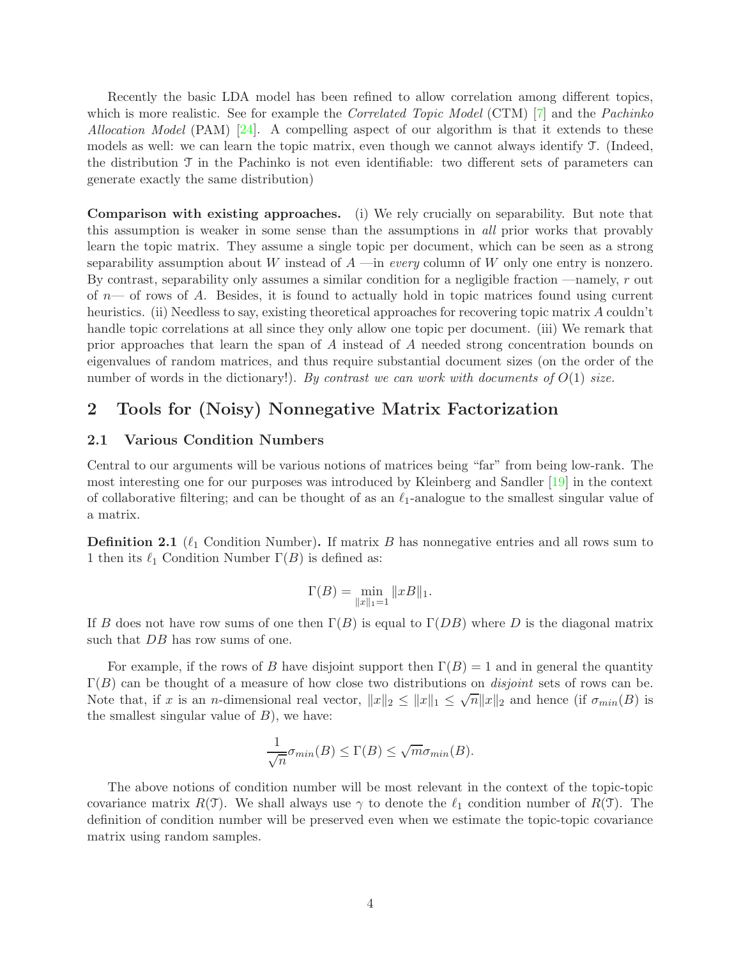Recently the basic LDA model has been refined to allow correlation among different topics, which is more realistic. See for example the *Correlated Topic Model* (CTM) [\[7\]](#page-19-9) and the *Pachinko* Allocation Model (PAM) [\[24\]](#page-20-8). A compelling aspect of our algorithm is that it extends to these models as well: we can learn the topic matrix, even though we cannot always identify T. (Indeed, the distribution  $\mathcal T$  in the Pachinko is not even identifiable: two different sets of parameters can generate exactly the same distribution)

Comparison with existing approaches. (i) We rely crucially on separability. But note that this assumption is weaker in some sense than the assumptions in all prior works that provably learn the topic matrix. They assume a single topic per document, which can be seen as a strong separability assumption about W instead of  $A$  —in every column of W only one entry is nonzero. By contrast, separability only assumes a similar condition for a negligible fraction —namely, r out of  $n$ — of rows of A. Besides, it is found to actually hold in topic matrices found using current heuristics. (ii) Needless to say, existing theoretical approaches for recovering topic matrix A couldn't handle topic correlations at all since they only allow one topic per document. (iii) We remark that prior approaches that learn the span of A instead of A needed strong concentration bounds on eigenvalues of random matrices, and thus require substantial document sizes (on the order of the number of words in the dictionary!). By contrast we can work with documents of  $O(1)$  size.

# <span id="page-4-0"></span>2 Tools for (Noisy) Nonnegative Matrix Factorization

## <span id="page-4-1"></span>2.1 Various Condition Numbers

Central to our arguments will be various notions of matrices being "far" from being low-rank. The most interesting one for our purposes was introduced by Kleinberg and Sandler [\[19\]](#page-20-7) in the context of collaborative filtering; and can be thought of as an  $\ell_1$ -analogue to the smallest singular value of a matrix.

**Definition 2.1** ( $\ell_1$  Condition Number). If matrix B has nonnegative entries and all rows sum to 1 then its  $\ell_1$  Condition Number  $\Gamma(B)$  is defined as:

$$
\Gamma(B) = \min_{\|x\|_1 = 1} \|xB\|_1.
$$

If B does not have row sums of one then  $\Gamma(B)$  is equal to  $\Gamma(DB)$  where D is the diagonal matrix such that DB has row sums of one.

For example, if the rows of B have disjoint support then  $\Gamma(B) = 1$  and in general the quantity  $\Gamma(B)$  can be thought of a measure of how close two distributions on *disjoint* sets of rows can be. Note that, if x is an n-dimensional real vector,  $||x||_2 \le ||x||_1 \le \sqrt{n} ||x||_2$  and hence (if  $\sigma_{min}(B)$  is the smallest singular value of  $B$ ), we have:

$$
\frac{1}{\sqrt{n}}\sigma_{min}(B) \leq \Gamma(B) \leq \sqrt{m}\sigma_{min}(B).
$$

The above notions of condition number will be most relevant in the context of the topic-topic covariance matrix  $R(\mathcal{T})$ . We shall always use  $\gamma$  to denote the  $\ell_1$  condition number of  $R(\mathcal{T})$ . The definition of condition number will be preserved even when we estimate the topic-topic covariance matrix using random samples.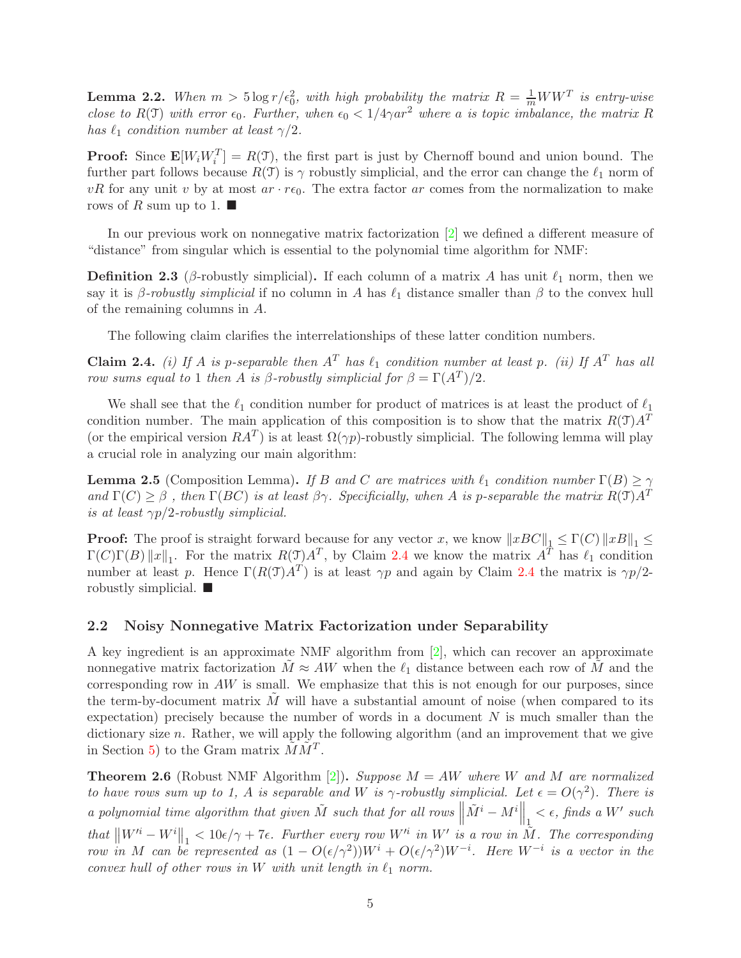<span id="page-5-1"></span>**Lemma 2.2.** When  $m > 5 \log r / \epsilon_0^2$ , with high probability the matrix  $R = \frac{1}{m}WW^T$  is entry-wise close to R(T) with error  $\epsilon_0$ . Further, when  $\epsilon_0 < 1/4\gamma a r^2$  where a is topic imbalance, the matrix R has  $\ell_1$  condition number at least  $\gamma/2$ .

**Proof:** Since  $\mathbf{E}[W_i W_i^T] = R(\mathcal{T})$ , the first part is just by Chernoff bound and union bound. The further part follows because  $R(\mathcal{T})$  is  $\gamma$  robustly simplicial, and the error can change the  $\ell_1$  norm of vR for any unit v by at most  $ar \cdot re_0$ . The extra factor ar comes from the normalization to make rows of R sum up to 1.  $\blacksquare$ 

In our previous work on nonnegative matrix factorization [\[2\]](#page-19-4) we defined a different measure of "distance" from singular which is essential to the polynomial time algorithm for NMF:

**Definition 2.3** (β-robustly simplicial). If each column of a matrix A has unit  $\ell_1$  norm, then we say it is  $\beta$ -robustly simplicial if no column in A has  $\ell_1$  distance smaller than  $\beta$  to the convex hull of the remaining columns in A.

The following claim clarifies the interrelationships of these latter condition numbers.

<span id="page-5-0"></span>Claim 2.4. (i) If A is p-separable then  $A<sup>T</sup>$  has  $\ell_1$  condition number at least p. (ii) If  $A<sup>T</sup>$  has all row sums equal to 1 then A is  $\beta$ -robustly simplicial for  $\beta = \Gamma(A^T)/2$ .

We shall see that the  $\ell_1$  condition number for product of matrices is at least the product of  $\ell_1$ condition number. The main application of this composition is to show that the matrix  $R(\mathcal{T})A^T$ (or the empirical version  $RA^T$ ) is at least  $\Omega(\gamma p)$ -robustly simplicial. The following lemma will play a crucial role in analyzing our main algorithm:

**Lemma 2.5** (Composition Lemma). If B and C are matrices with  $\ell_1$  condition number  $\Gamma(B) \ge \gamma$ and  $\Gamma(C) \geq \beta$ , then  $\Gamma(BC)$  is at least  $\beta \gamma$ . Specificially, when A is p-separable the matrix  $R(\mathcal{T})A^T$ is at least  $\gamma p/2$ -robustly simplicial.

**Proof:** The proof is straight forward because for any vector x, we know  $||xBC||_1 \leq \Gamma(C) ||xB||_1 \leq$  $\Gamma(C)\Gamma(B)\|x\|_1$ . For the matrix  $R(\mathcal{I})A^T$ , by Claim [2.4](#page-5-0) we know the matrix  $A^T$  has  $\ell_1$  condition number at least p. Hence  $\Gamma(R(\mathcal{T})A^T)$  is at least  $\gamma p$  and again by Claim [2.4](#page-5-0) the matrix is  $\gamma p/2$ robustly simplicial.  $\blacksquare$ 

### <span id="page-5-3"></span>2.2 Noisy Nonnegative Matrix Factorization under Separability

A key ingredient is an approximate NMF algorithm from [\[2\]](#page-19-4), which can recover an approximate nonnegative matrix factorization  $M \approx AW$  when the  $\ell_1$  distance between each row of M and the corresponding row in  $AW$  is small. We emphasize that this is not enough for our purposes, since the term-by-document matrix  $M$  will have a substantial amount of noise (when compared to its expectation) precisely because the number of words in a document  $N$  is much smaller than the dictionary size n. Rather, we will apply the following algorithm (and an improvement that we give in Section [5\)](#page-15-0) to the Gram matrix  $\tilde{M}\tilde{M}^T$ .

<span id="page-5-2"></span>**Theorem 2.6** (Robust NMF Algorithm [\[2\]](#page-19-4)). Suppose  $M = AW$  where W and M are normalized to have rows sum up to 1, A is separable and W is  $\gamma$ -robustly simplicial. Let  $\epsilon = O(\gamma^2)$ . There is a polynomial time algorithm that given  $\tilde{M}$  such that for all rows  $\left\| \tilde{M}^i - M^i \right\|_1 < \epsilon$ , finds a W' such that  $\left\|W^{i}-W^{i}\right\|_{1} < 10\epsilon/\gamma + 7\epsilon$ . Further every row  $W'^{i}$  in  $W'$  is a row in  $\tilde{M}$ . The corresponding row in M can be represented as  $(1 - O(\epsilon/\gamma^2))W^i + O(\epsilon/\gamma^2)W^{-i}$ . Here  $W^{-i}$  is a vector in the convex hull of other rows in W with unit length in  $\ell_1$  norm.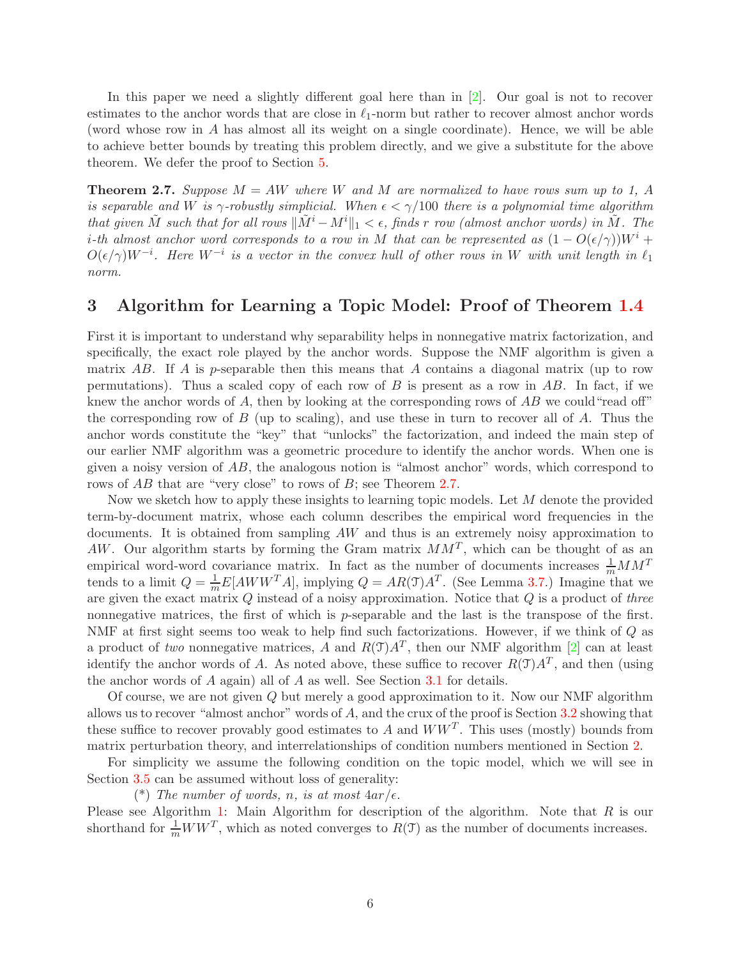In this paper we need a slightly different goal here than in [\[2\]](#page-19-4). Our goal is not to recover estimates to the anchor words that are close in  $\ell_1$ -norm but rather to recover almost anchor words (word whose row in A has almost all its weight on a single coordinate). Hence, we will be able to achieve better bounds by treating this problem directly, and we give a substitute for the above theorem. We defer the proof to Section [5.](#page-15-0)

<span id="page-6-1"></span>**Theorem 2.7.** Suppose  $M = AW$  where W and M are normalized to have rows sum up to 1, A is separable and W is  $\gamma$ -robustly simplicial. When  $\epsilon < \gamma/100$  there is a polynomial time algorithm that given  $\tilde{M}$  such that for all rows  $\|\tilde{M}^i - M^i\|_1 < \epsilon$ , finds r row (almost anchor words) in  $\tilde{M}$ . The i-th almost anchor word corresponds to a row in M that can be represented as  $(1 - O(\epsilon/\gamma))W^i$  +  $O(\epsilon/\gamma)W^{-i}$ . Here  $W^{-i}$  is a vector in the convex hull of other rows in W with unit length in  $\ell_1$ norm.

# <span id="page-6-0"></span>3 Algorithm for Learning a Topic Model: Proof of Theorem [1.4](#page-3-0)

First it is important to understand why separability helps in nonnegative matrix factorization, and specifically, the exact role played by the anchor words. Suppose the NMF algorithm is given a matrix AB. If A is p-separable then this means that A contains a diagonal matrix (up to row permutations). Thus a scaled copy of each row of  $B$  is present as a row in  $AB$ . In fact, if we knew the anchor words of  $A$ , then by looking at the corresponding rows of  $\overline{AB}$  we could "read off" the corresponding row of  $B$  (up to scaling), and use these in turn to recover all of  $A$ . Thus the anchor words constitute the "key" that "unlocks" the factorization, and indeed the main step of our earlier NMF algorithm was a geometric procedure to identify the anchor words. When one is given a noisy version of  $AB$ , the analogous notion is "almost anchor" words, which correspond to rows of AB that are "very close" to rows of B; see Theorem [2.7.](#page-6-1)

Now we sketch how to apply these insights to learning topic models. Let M denote the provided term-by-document matrix, whose each column describes the empirical word frequencies in the documents. It is obtained from sampling AW and thus is an extremely noisy approximation to AW. Our algorithm starts by forming the Gram matrix  $MM^T$ , which can be thought of as an empirical word-word covariance matrix. In fact as the number of documents increases  $\frac{1}{m}MM^T$ tends to a limit  $Q = \frac{1}{m} E[AWW^T A]$ , implying  $Q = AR(\mathcal{T})A^T$ . (See Lemma [3.7.](#page-11-0)) Imagine that we are given the exact matrix  $Q$  instead of a noisy approximation. Notice that  $Q$  is a product of three nonnegative matrices, the first of which is p-separable and the last is the transpose of the first. NMF at first sight seems too weak to help find such factorizations. However, if we think of Q as a product of two nonnegative matrices, A and  $R(\mathcal{T})A^T$ , then our NMF algorithm [\[2\]](#page-19-4) can at least identify the anchor words of A. As noted above, these suffice to recover  $R(\mathcal{T})A^T$ , and then (using the anchor words of  $A$  again) all of  $A$  as well. See Section  $3.1$  for details.

Of course, we are not given Q but merely a good approximation to it. Now our NMF algorithm allows us to recover "almost anchor" words of A, and the crux of the proof is Section [3.2](#page-8-0) showing that these suffice to recover provably good estimates to A and  $WW<sup>T</sup>$ . This uses (mostly) bounds from matrix perturbation theory, and interrelationships of condition numbers mentioned in Section [2.](#page-4-0)

For simplicity we assume the following condition on the topic model, which we will see in Section [3.5](#page-12-0) can be assumed without loss of generality:

(\*) The number of words, n, is at most  $4ar/\epsilon$ .

Please see Algorithm [1:](#page-7-1) Main Algorithm for description of the algorithm. Note that  $R$  is our shorthand for  $\frac{1}{m}WW^T$ , which as noted converges to  $R(\mathcal{T})$  as the number of documents increases.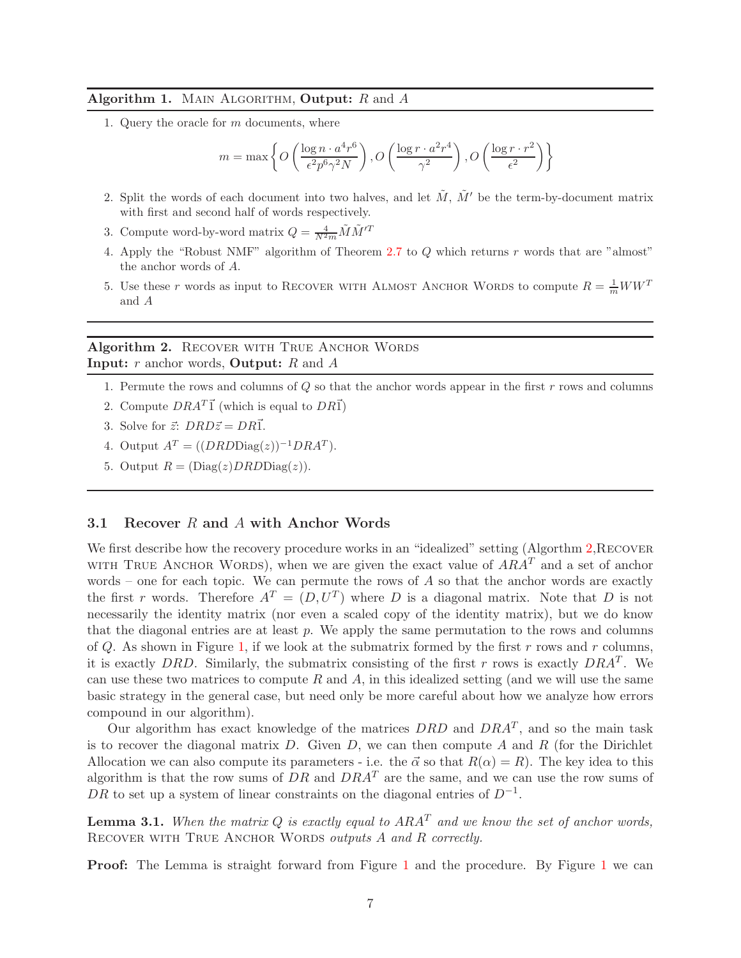## <span id="page-7-1"></span>Algorithm 1. MAIN ALGORITHM, Output:  $R$  and  $A$

1. Query the oracle for m documents, where

$$
m = \max \left\{ O\left(\frac{\log n \cdot a^4 r^6}{\epsilon^2 p^6 \gamma^2 N}\right), O\left(\frac{\log r \cdot a^2 r^4}{\gamma^2}\right), O\left(\frac{\log r \cdot r^2}{\epsilon^2}\right) \right\}
$$

- 2. Split the words of each document into two halves, and let  $\tilde{M}$ ,  $\tilde{M}'$  be the term-by-document matrix with first and second half of words respectively.
- 3. Compute word-by-word matrix  $Q = \frac{4}{N^2 m} \tilde{M} \tilde{M}'^T$
- 4. Apply the "Robust NMF" algorithm of Theorem [2.7](#page-6-1) to Q which returns r words that are "almost" the anchor words of A.
- 5. Use these r words as input to RECOVER WITH ALMOST ANCHOR WORDS to compute  $R = \frac{1}{m}WW^{T}$ and A

# Algorithm 2. RECOVER WITH TRUE ANCHOR WORDS **Input:**  $r$  anchor words, **Output:**  $R$  and  $A$

- <span id="page-7-2"></span>1. Permute the rows and columns of  $Q$  so that the anchor words appear in the first  $r$  rows and columns
- 2. Compute  $DRA^T\vec{1}$  (which is equal to  $DR\vec{1}$ )
- 3. Solve for  $\vec{z}$ :  $DRD\vec{z} = DR\vec{1}$ .
- 4. Output  $A<sup>T</sup> = ((DRDDiag(z))^{-1}DRA<sup>T</sup>).$
- 5. Output  $R = (\text{Diag}(z) DRD\text{Diag}(z)).$

### <span id="page-7-0"></span>3.1 Recover R and A with Anchor Words

We first describe how the recovery procedure works in an "idealized" setting (Algorthm [2,](#page-7-2) RECOVER WITH TRUE ANCHOR WORDS), when we are given the exact value of  $ARA<sup>T</sup>$  and a set of anchor words – one for each topic. We can permute the rows of  $A$  so that the anchor words are exactly the first r words. Therefore  $A<sup>T</sup> = (D, U<sup>T</sup>)$  where D is a diagonal matrix. Note that D is not necessarily the identity matrix (nor even a scaled copy of the identity matrix), but we do know that the diagonal entries are at least  $p$ . We apply the same permutation to the rows and columns of  $Q$ . As shown in Figure [1,](#page-8-1) if we look at the submatrix formed by the first r rows and r columns, it is exactly DRD. Similarly, the submatrix consisting of the first r rows is exactly  $DRA^T$ . We can use these two matrices to compute R and A, in this idealized setting (and we will use the same basic strategy in the general case, but need only be more careful about how we analyze how errors compound in our algorithm).

Our algorithm has exact knowledge of the matrices  $DRD$  and  $DRA<sup>T</sup>$ , and so the main task is to recover the diagonal matrix  $D$ . Given  $D$ , we can then compute  $A$  and  $R$  (for the Dirichlet Allocation we can also compute its parameters - i.e. the  $\vec{\alpha}$  so that  $R(\alpha) = R$ ). The key idea to this algorithm is that the row sums of DR and  $DRA<sup>T</sup>$  are the same, and we can use the row sums of DR to set up a system of linear constraints on the diagonal entries of  $D^{-1}$ .

**Lemma 3.1.** When the matrix Q is exactly equal to  $ARA^T$  and we know the set of anchor words, RECOVER WITH TRUE ANCHOR WORDS outputs A and R correctly.

Proof: The Lemma is straight forward from Figure [1](#page-8-1) and the procedure. By Figure [1](#page-8-1) we can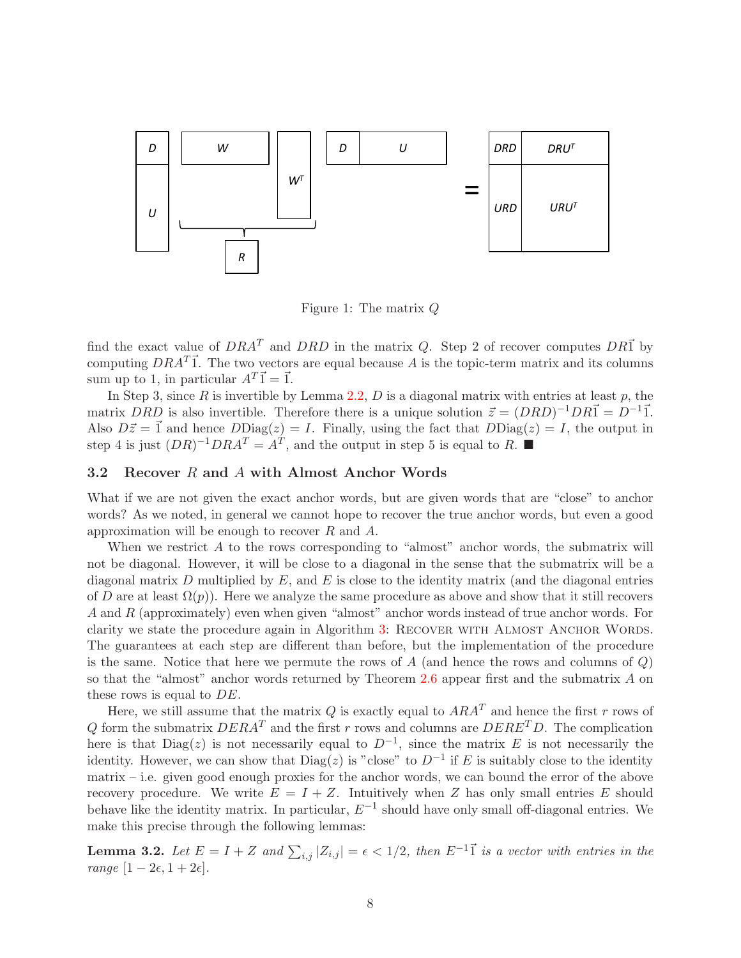

<span id="page-8-1"></span>Figure 1: The matrix Q

find the exact value of  $DRA^T$  and  $DRD$  in the matrix Q. Step 2 of recover computes  $DR\vec{1}$  by computing  $DRA^T\vec{1}$ . The two vectors are equal because A is the topic-term matrix and its columns sum up to 1, in particular  $A^T\vec{1} = \vec{1}$ .

In Step 3, since  $R$  is invertible by Lemma [2.2,](#page-5-1)  $D$  is a diagonal matrix with entries at least  $p$ , the matrix DRD is also invertible. Therefore there is a unique solution  $\vec{z} = (DRD)^{-1}DR\vec{1} = D^{-1}\vec{1}$ . Also  $D\vec{z} = \vec{1}$  and hence  $DDiag(z) = I$ . Finally, using the fact that  $DDiag(z) = I$ , the output in step 4 is just  $(DR)^{-1}DRA^T = A^T$ , and the output in step 5 is equal to R.

### <span id="page-8-0"></span>3.2 Recover R and A with Almost Anchor Words

What if we are not given the exact anchor words, but are given words that are "close" to anchor words? As we noted, in general we cannot hope to recover the true anchor words, but even a good approximation will be enough to recover  $R$  and  $A$ .

When we restrict A to the rows corresponding to "almost" anchor words, the submatrix will not be diagonal. However, it will be close to a diagonal in the sense that the submatrix will be a diagonal matrix D multiplied by  $E$ , and  $E$  is close to the identity matrix (and the diagonal entries of D are at least  $\Omega(p)$ ). Here we analyze the same procedure as above and show that it still recovers A and R (approximately) even when given "almost" anchor words instead of true anchor words. For clarity we state the procedure again in Algorithm [3:](#page-9-0) RECOVER WITH ALMOST ANCHOR WORDS. The guarantees at each step are different than before, but the implementation of the procedure is the same. Notice that here we permute the rows of A (and hence the rows and columns of  $Q$ ) so that the "almost" anchor words returned by Theorem [2.6](#page-5-2) appear first and the submatrix A on these rows is equal to DE.

Here, we still assume that the matrix Q is exactly equal to  $ARA^T$  and hence the first r rows of Q form the submatrix  $DERA<sup>T</sup>$  and the first r rows and columns are  $DERE<sup>T</sup>D$ . The complication here is that  $Diag(z)$  is not necessarily equal to  $D^{-1}$ , since the matrix E is not necessarily the identity. However, we can show that  $Diag(z)$  is "close" to  $D^{-1}$  if E is suitably close to the identity matrix – i.e. given good enough proxies for the anchor words, we can bound the error of the above recovery procedure. We write  $E = I + Z$ . Intuitively when Z has only small entries E should behave like the identity matrix. In particular,  $E^{-1}$  should have only small off-diagonal entries. We make this precise through the following lemmas:

<span id="page-8-2"></span>**Lemma 3.2.** Let  $E = I + Z$  and  $\sum_{i,j} |Z_{i,j}| = \epsilon < 1/2$ , then  $E^{-1}$  is a vector with entries in the range  $[1-2\epsilon, 1+2\epsilon]$ .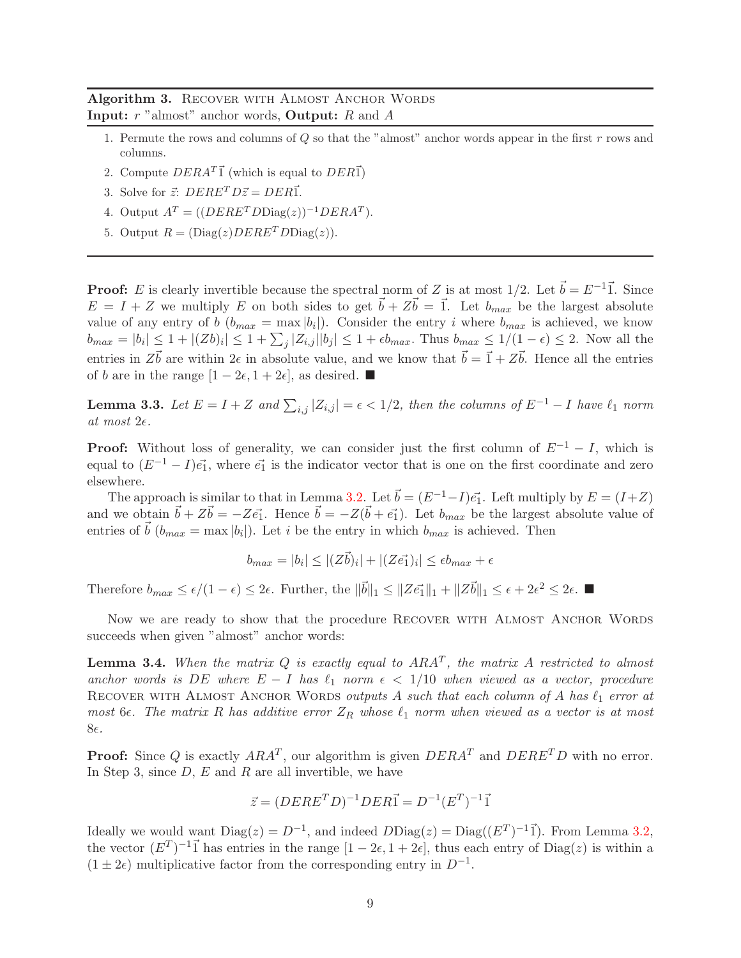<span id="page-9-0"></span>Algorithm 3. RECOVER WITH ALMOST ANCHOR WORDS **Input:**  $r$  "almost" anchor words, **Output:**  $R$  and  $A$ 

- 1. Permute the rows and columns of Q so that the "almost" anchor words appear in the first r rows and columns.
- 2. Compute  $DERA^T\vec{1}$  (which is equal to  $DER\vec{1}$ )
- 3. Solve for  $\vec{z}$ :  $DERE<sup>T</sup> D\vec{z} = DER\vec{1}$ .
- 4. Output  $A<sup>T</sup> = ((DERE<sup>T</sup> DDiag(z))^{-1}DERA<sup>T</sup>).$
- 5. Output  $R = (\text{Diag}(z) D E R E^T D \text{Diag}(z)).$

**Proof:** E is clearly invertible because the spectral norm of Z is at most  $1/2$ . Let  $\vec{b} = E^{-1}\vec{1}$ . Since  $E = I + Z$  we multiply E on both sides to get  $\vec{b} + Z\vec{b} = \vec{1}$ . Let  $b_{max}$  be the largest absolute value of any entry of b  $(b_{max} = \max |b_i|)$ . Consider the entry i where  $b_{max}$  is achieved, we know  $b_{max} = |b_i| \leq 1 + |(Zb)_i| \leq 1 + \sum_j |Z_{i,j}||b_j| \leq 1 + \epsilon b_{max}$ . Thus  $b_{max} \leq 1/(1 - \epsilon) \leq 2$ . Now all the entries in  $Z\vec{b}$  are within  $2\epsilon$  in absolute value, and we know that  $\vec{b} = \vec{1} + Z\vec{b}$ . Hence all the entries of *b* are in the range  $[1-2\epsilon, 1+2\epsilon]$ , as desired. ■

<span id="page-9-1"></span>**Lemma 3.3.** Let  $E = I + Z$  and  $\sum_{i,j} |Z_{i,j}| = \epsilon < 1/2$ , then the columns of  $E^{-1} - I$  have  $\ell_1$  norm at most  $2\epsilon$ .

**Proof:** Without loss of generality, we can consider just the first column of  $E^{-1} - I$ , which is equal to  $(E^{-1} - I)\vec{e_1}$ , where  $\vec{e_1}$  is the indicator vector that is one on the first coordinate and zero elsewhere.

The approach is similar to that in Lemma [3.2.](#page-8-2) Let  $\vec{b} = (E^{-1}-I)\vec{e_1}$ . Left multiply by  $E = (I+Z)$ and we obtain  $\vec{b} + Z\vec{b} = -Z\vec{e_1}$ . Hence  $\vec{b} = -Z(\vec{b} + \vec{e_1})$ . Let  $b_{max}$  be the largest absolute value of entries of  $\vec{b}$  ( $b_{max} = \max |b_i|$ ). Let i be the entry in which  $b_{max}$  is achieved. Then

$$
b_{max} = |b_i| \le |(Z\vec{b})_i| + |(Z\vec{e_1})_i| \le \epsilon b_{max} + \epsilon
$$

Therefore  $b_{max} \leq \epsilon/(1-\epsilon) \leq 2\epsilon$ . Further, the  $\|\vec{b}\|_1 \leq \|Z\vec{e}_1\|_1 + \|Z\vec{b}\|_1 \leq \epsilon + 2\epsilon^2 \leq 2\epsilon$ .

Now we are ready to show that the procedure RECOVER WITH ALMOST ANCHOR WORDS succeeds when given "almost" anchor words:

<span id="page-9-2"></span>**Lemma 3.4.** When the matrix Q is exactly equal to  $ARA^T$ , the matrix A restricted to almost anchor words is DE where  $E - I$  has  $\ell_1$  norm  $\epsilon < 1/10$  when viewed as a vector, procedure RECOVER WITH ALMOST ANCHOR WORDS outputs A such that each column of A has  $\ell_1$  error at most 6 $\epsilon$ . The matrix R has additive error  $Z_R$  whose  $\ell_1$  norm when viewed as a vector is at most 8€.

**Proof:** Since Q is exactly  $ARA^T$ , our algorithm is given  $DERA^T$  and  $DERE^T D$  with no error. In Step 3, since  $D, E$  and  $R$  are all invertible, we have

$$
\vec{z} = (DERE^TD)^{-1} DER\vec{1} = D^{-1}(E^T)^{-1}\vec{1}
$$

Ideally we would want  $Diag(z) = D^{-1}$ , and indeed  $DDiag(z) = Diag((E^T)^{-1}\vec{1})$ . From Lemma [3.2,](#page-8-2) the vector  $(E^T)^{-1}$  has entries in the range  $[1 - 2\epsilon, 1 + 2\epsilon]$ , thus each entry of Diag(z) is within a  $(1 \pm 2\epsilon)$  multiplicative factor from the corresponding entry in  $D^{-1}$ .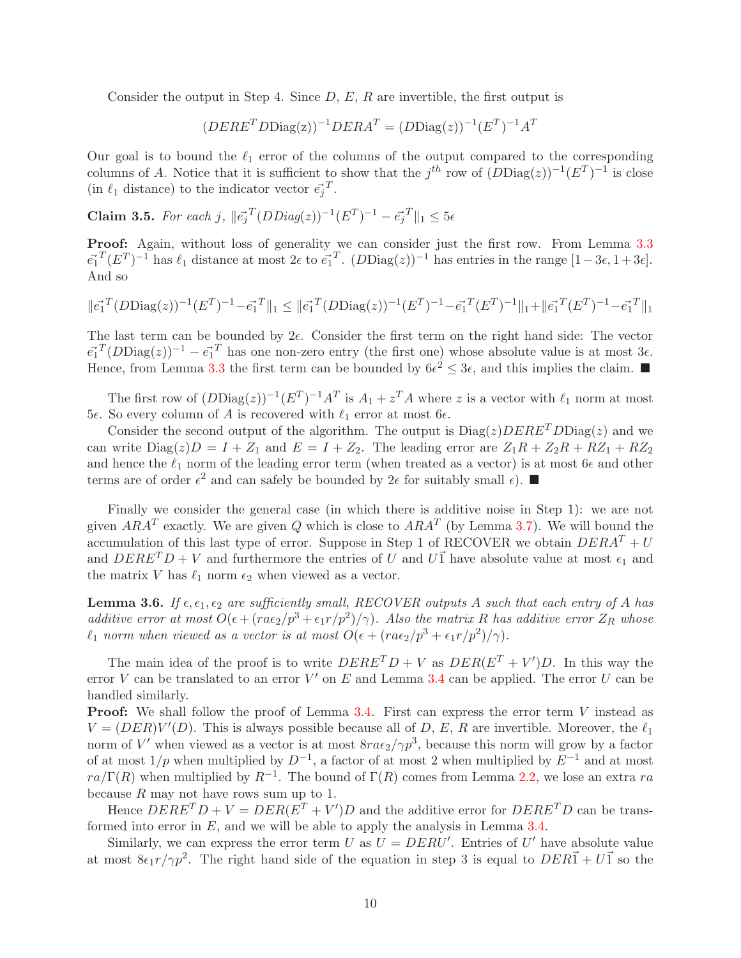Consider the output in Step 4. Since  $D, E, R$  are invertible, the first output is

$$
(DERET D \text{Diag}(z))^{-1} DERAT = (D \text{Diag}(z))^{-1} (ET)^{-1} AT
$$

Our goal is to bound the  $\ell_1$  error of the columns of the output compared to the corresponding columns of A. Notice that it is sufficient to show that the  $j^{th}$  row of  $(D\text{Diag}(z))^{-1}(E^T)^{-1}$  is close (in  $\ell_1$  distance) to the indicator vector  $\vec{e_j}^T$ .

Claim 3.5. For each j,  $||\vec{e_j}^T(DDiag(z))^{-1}(E^T)^{-1} - \vec{e_j}^T||_1 \leq 5\epsilon$ 

Proof: Again, without loss of generality we can consider just the first row. From Lemma [3.3](#page-9-1)  $\vec{e_1}^T (E^T)^{-1}$  has  $\ell_1$  distance at most  $2\epsilon$  to  $\vec{e_1}^T$ .  $(DDiag(z))^{-1}$  has entries in the range  $[1-3\epsilon, 1+3\epsilon]$ . And so

$$
\|\vec{e_1}^T (D\text{Diag}(z))^{-1} (E^T)^{-1} - \vec{e_1}^T \|_1 \leq \|\vec{e_1}^T (D\text{Diag}(z))^{-1} (E^T)^{-1} - \vec{e_1}^T (E^T)^{-1} \|_1 + \|\vec{e_1}^T (E^T)^{-1} - \vec{e_1}^T \|_1
$$

The last term can be bounded by  $2\epsilon$ . Consider the first term on the right hand side: The vector  $\vec{e_1}^T (D \text{Diag}(z))^{-1} - \vec{e_1}^T$  has one non-zero entry (the first one) whose absolute value is at most  $3\epsilon$ . Hence, from Lemma [3.3](#page-9-1) the first term can be bounded by  $6\epsilon^2 \leq 3\epsilon$ , and this implies the claim.

The first row of  $(DDiag(z))^{-1}(E^T)^{-1}A^T$  is  $A_1 + z^T A$  where z is a vector with  $\ell_1$  norm at most 5ε. So every column of A is recovered with  $\ell_1$  error at most 6ε.

Consider the second output of the algorithm. The output is  $Diag(z)$  DERE<sup>T</sup> DDiag(z) and we can write  $Diag(z)D = I + Z_1$  and  $E = I + Z_2$ . The leading error are  $Z_1R + Z_2R + RZ_1 + RZ_2$ and hence the  $\ell_1$  norm of the leading error term (when treated as a vector) is at most 6 $\epsilon$  and other terms are of order  $\epsilon^2$  and can safely be bounded by  $2\epsilon$  for suitably small  $\epsilon$ ).

Finally we consider the general case (in which there is additive noise in Step 1): we are not given  $ARA^T$  exactly. We are given Q which is close to  $ARA^T$  (by Lemma [3.7\)](#page-11-0). We will bound the accumulation of this last type of error. Suppose in Step 1 of RECOVER we obtain  $DERA<sup>T</sup> + U$ and  $DERE<sup>T</sup> D + V$  and furthermore the entries of U and U<sup>1</sup> have absolute value at most  $\epsilon_1$  and the matrix V has  $\ell_1$  norm  $\epsilon_2$  when viewed as a vector.

<span id="page-10-0"></span>**Lemma 3.6.** If  $\epsilon, \epsilon_1, \epsilon_2$  are sufficiently small, RECOVER outputs A such that each entry of A has additive error at most  $O(\epsilon + (ra\epsilon_2/p^3 + \epsilon_1 r/p^2)/\gamma)$ . Also the matrix R has additive error  $Z_R$  whose  $\ell_1$  norm when viewed as a vector is at most  $O(\epsilon + (ra\epsilon_2/p^3 + \epsilon_1 r/p^2)/\gamma)$ .

The main idea of the proof is to write  $DERE<sup>T</sup> D + V$  as  $DER(E<sup>T</sup> + V')D$ . In this way the error V can be translated to an error  $V'$  on E and Lemma [3.4](#page-9-2) can be applied. The error U can be handled similarly.

**Proof:** We shall follow the proof of Lemma [3.4.](#page-9-2) First can express the error term  $V$  instead as  $V = (DER)V'(D)$ . This is always possible because all of D, E, R are invertible. Moreover, the  $\ell_1$ norm of V' when viewed as a vector is at most  $8ra\epsilon_2/\gamma p^3$ , because this norm will grow by a factor of at most  $1/p$  when multiplied by  $D^{-1}$ , a factor of at most 2 when multiplied by  $E^{-1}$  and at most  $ra/\Gamma(R)$  when multiplied by  $R^{-1}$ . The bound of  $\Gamma(R)$  comes from Lemma [2.2,](#page-5-1) we lose an extra ra because  $R$  may not have rows sum up to 1.

Hence  $DERE<sup>T</sup> D + V = DER(E<sup>T</sup> + V')D$  and the additive error for  $DERE<sup>T</sup> D$  can be transformed into error in  $E$ , and we will be able to apply the analysis in Lemma [3.4.](#page-9-2)

Similarly, we can express the error term U as  $U = DERU'$ . Entries of U' have absolute value at most  $8\epsilon_1 r/\gamma p^2$ . The right hand side of the equation in step 3 is equal to  $DER\vec{1} + U\vec{1}$  so the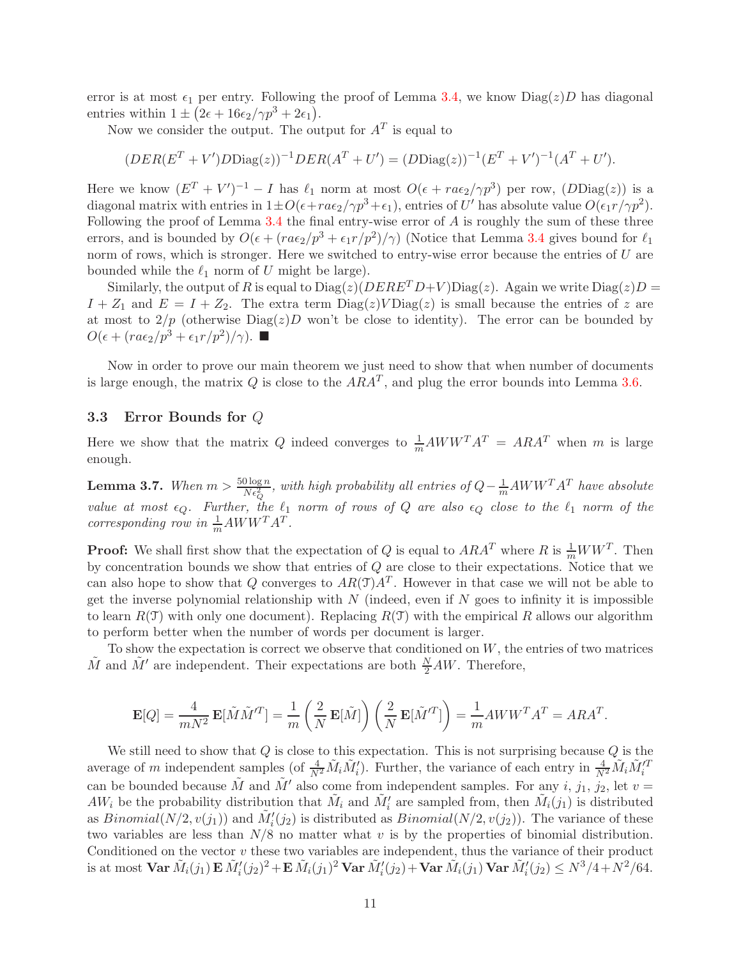error is at most  $\epsilon_1$  per entry. Following the proof of Lemma [3.4,](#page-9-2) we know  $Diag(z)D$  has diagonal entries within  $1 \pm (2\epsilon + 16\epsilon_2/\gamma p^3 + 2\epsilon_1).$ 

Now we consider the output. The output for  $A<sup>T</sup>$  is equal to

$$
(DER(E^{T} + V')DDiag(z))^{-1}DER(A^{T} + U') = (DDiag(z))^{-1}(E^{T} + V')^{-1}(A^{T} + U').
$$

Here we know  $(E^T + V')^{-1} - I$  has  $\ell_1$  norm at most  $O(\epsilon + ra\epsilon_2/\gamma p^3)$  per row,  $(DDiag(z))$  is a diagonal matrix with entries in  $1 \pm O(\epsilon + ra\epsilon_2/\gamma p^3 + \epsilon_1)$ , entries of U' has absolute value  $O(\epsilon_1 r/\gamma p^2)$ . Following the proof of Lemma  $3.4$  the final entry-wise error of A is roughly the sum of these three errors, and is bounded by  $O(\epsilon + (ra\epsilon_2/p^3 + \epsilon_1 r/p^2)/\gamma)$  (Notice that Lemma [3.4](#page-9-2) gives bound for  $\ell_1$ norm of rows, which is stronger. Here we switched to entry-wise error because the entries of  $U$  are bounded while the  $\ell_1$  norm of U might be large).

Similarly, the output of R is equal to  $Diag(z)(DERE<sup>T</sup>D+V)Diag(z)$ . Again we write  $Diag(z)D =$  $I + Z_1$  and  $E = I + Z_2$ . The extra term  $Diag(z)VDiag(z)$  is small because the entries of z are at most to  $2/p$  (otherwise  $Diag(z)D$  won't be close to identity). The error can be bounded by  $O(\epsilon + (ra\epsilon_2/p^3 + \epsilon_1r/p^2)/\gamma)$ .

Now in order to prove our main theorem we just need to show that when number of documents is large enough, the matrix Q is close to the  $ARA^T$ , and plug the error bounds into Lemma [3.6.](#page-10-0)

### 3.3 Error Bounds for Q

Here we show that the matrix Q indeed converges to  $\frac{1}{m}AWW^{T}A^{T} = ARA^{T}$  when m is large enough.

<span id="page-11-0"></span>**Lemma 3.7.** When  $m > \frac{50 \log n}{N \epsilon_Q^2}$ , with high probability all entries of  $Q - \frac{1}{m}AWW^T A^T$  have absolute value at most  $\epsilon_Q$ . Further, the  $\ell_1$  norm of rows of Q are also  $\epsilon_Q$  close to the  $\ell_1$  norm of the corresponding row in  $\frac{1}{m}AWW^{T}A^{T}$ .

**Proof:** We shall first show that the expectation of Q is equal to  $ARA^T$  where R is  $\frac{1}{m}WW^T$ . Then by concentration bounds we show that entries of  $Q$  are close to their expectations. Notice that we can also hope to show that Q converges to  $AR(\mathcal{T})A^T$ . However in that case we will not be able to get the inverse polynomial relationship with  $N$  (indeed, even if  $N$  goes to infinity it is impossible to learn  $R(\mathcal{T})$  with only one document). Replacing  $R(\mathcal{T})$  with the empirical R allows our algorithm to perform better when the number of words per document is larger.

To show the expectation is correct we observe that conditioned on  $W$ , the entries of two matrices  $\tilde{M}$  and  $\tilde{M}'$  are independent. Their expectations are both  $\frac{N}{2}AW$ . Therefore,

$$
\mathbf{E}[Q] = \frac{4}{mN^2} \, \mathbf{E}[\tilde{M} \tilde{M}^{\prime T}]= \frac{1}{m} \left(\frac{2}{N} \, \mathbf{E}[\tilde{M}]\right) \left(\frac{2}{N} \, \mathbf{E}[\tilde{M}^{\prime T}]\right) = \frac{1}{m} A W W^T A^T = A R A^T.
$$

We still need to show that  $Q$  is close to this expectation. This is not surprising because  $Q$  is the average of m independent samples (of  $\frac{4}{N^2}\tilde{M}_i\tilde{M}_i'$ ). Further, the variance of each entry in  $\frac{4}{N^2}\tilde{M}_i\tilde{M}_i'^T$ can be bounded because  $\tilde{M}$  and  $\tilde{M}'$  also come from independent samples. For any i,  $j_1$ ,  $j_2$ , let  $v =$  $AW_i$  be the probability distribution that  $\tilde{M}_i$  and  $\tilde{M}'_i$  are sampled from, then  $\tilde{M}_i(j_1)$  is distributed as  $Binomial(N/2, v(j_1))$  and  $\tilde{M}'_i(j_2)$  is distributed as  $Binomial(N/2, v(j_2))$ . The variance of these two variables are less than  $N/8$  no matter what v is by the properties of binomial distribution. Conditioned on the vector  $v$  these two variables are independent, thus the variance of their product is at most  $\textbf{Var} \,\tilde{M}_i(j_1) \, \textbf{E} \,\tilde{M}_i'(j_2)^2 + \textbf{E} \,\tilde{M}_i(j_1)^2 \, \textbf{Var} \,\tilde{M}_i'(j_2) + \textbf{Var} \,\tilde{M}_i(j_1) \, \textbf{Var} \,\tilde{M}_i'(j_2) \leq N^3/4 + N^2/64.$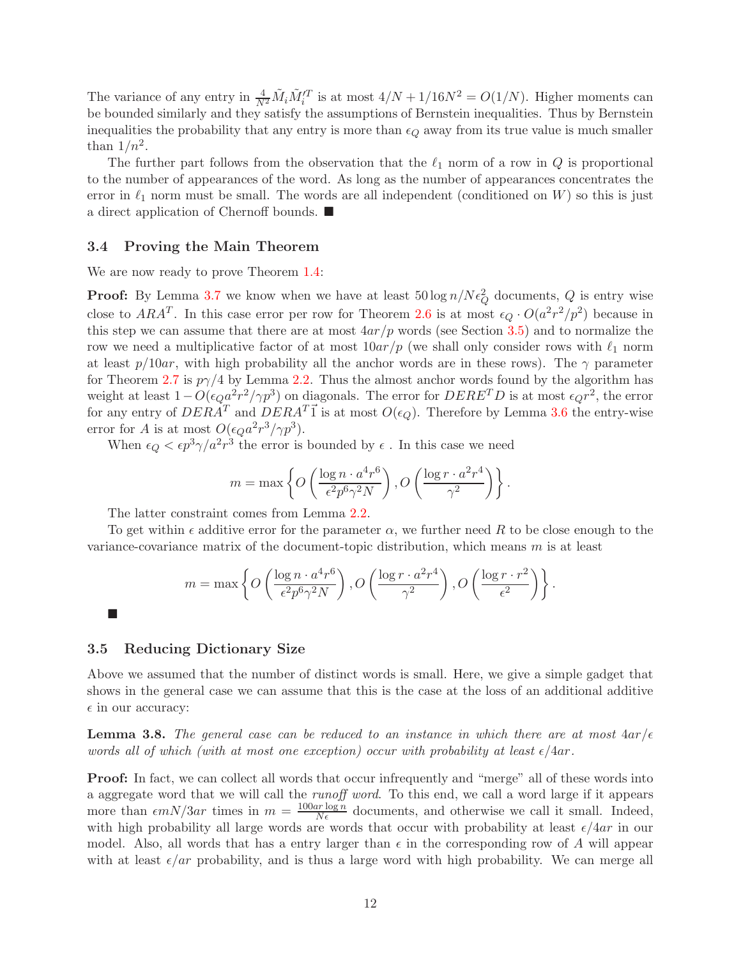The variance of any entry in  $\frac{4}{N^2}\tilde{M}_i\tilde{M}_i'^T$  is at most  $4/N + 1/16N^2 = O(1/N)$ . Higher moments can be bounded similarly and they satisfy the assumptions of Bernstein inequalities. Thus by Bernstein inequalities the probability that any entry is more than  $\epsilon_Q$  away from its true value is much smaller than  $1/n^2$ .

The further part follows from the observation that the  $\ell_1$  norm of a row in  $Q$  is proportional to the number of appearances of the word. As long as the number of appearances concentrates the error in  $\ell_1$  norm must be small. The words are all independent (conditioned on W) so this is just a direct application of Chernoff bounds.  $\blacksquare$ 

#### 3.4 Proving the Main Theorem

We are now ready to prove Theorem [1.4:](#page-3-0)

**Proof:** By Lemma [3.7](#page-11-0) we know when we have at least  $50 \log n / N \epsilon_Q^2$  documents, Q is entry wise close to  $ARA^T$ . In this case error per row for Theorem [2.6](#page-5-2) is at most  $\epsilon_Q \cdot O(a^2r^2/p^2)$  because in this step we can assume that there are at most  $4ar/p$  words (see Section [3.5\)](#page-12-0) and to normalize the row we need a multiplicative factor of at most  $10ar/p$  (we shall only consider rows with  $\ell_1$  norm at least  $p/10ar$ , with high probability all the anchor words are in these rows). The  $\gamma$  parameter for Theorem [2.7](#page-6-1) is  $p\gamma/4$  by Lemma [2.2.](#page-5-1) Thus the almost anchor words found by the algorithm has weight at least  $1-O(\epsilon_{Q}a^2r^2/\gamma p^3)$  on diagonals. The error for  $DERE^T D$  is at most  $\epsilon_{Q}r^2$ , the error for any entry of  $DER\AA^T$  and  $DER\AA^T\vec{1}$  is at most  $O(\epsilon_Q)$ . Therefore by Lemma [3.6](#page-10-0) the entry-wise error for A is at most  $O(\epsilon_Q a^2 r^3 / \gamma p^3)$ .

When  $\epsilon_Q < \epsilon p^3 \gamma / a^2 r^3$  the error is bounded by  $\epsilon$ . In this case we need

$$
m = \max \left\{ O\left(\frac{\log n \cdot a^4 r^6}{\epsilon^2 p^6 \gamma^2 N}\right), O\left(\frac{\log r \cdot a^2 r^4}{\gamma^2}\right) \right\}.
$$

The latter constraint comes from Lemma [2.2.](#page-5-1)

To get within  $\epsilon$  additive error for the parameter  $\alpha$ , we further need R to be close enough to the variance-covariance matrix of the document-topic distribution, which means  $m$  is at least

$$
m = \max \left\{ O\left(\frac{\log n \cdot a^4 r^6}{\epsilon^2 p^6 \gamma^2 N}\right), O\left(\frac{\log r \cdot a^2 r^4}{\gamma^2}\right), O\left(\frac{\log r \cdot r^2}{\epsilon^2}\right) \right\}.
$$

### <span id="page-12-0"></span>3.5 Reducing Dictionary Size

Ē

Above we assumed that the number of distinct words is small. Here, we give a simple gadget that shows in the general case we can assume that this is the case at the loss of an additional additive  $\epsilon$  in our accuracy:

**Lemma 3.8.** The general case can be reduced to an instance in which there are at most  $4ar/\epsilon$ words all of which (with at most one exception) occur with probability at least  $\epsilon/4ar$ .

Proof: In fact, we can collect all words that occur infrequently and "merge" all of these words into a aggregate word that we will call the runoff word. To this end, we call a word large if it appears more than  $\epsilon m N/3ar$  times in  $m = \frac{100ar \log n}{N\epsilon}$  documents, and otherwise we call it small. Indeed, with high probability all large words are words that occur with probability at least  $\epsilon/4ar$  in our model. Also, all words that has a entry larger than  $\epsilon$  in the corresponding row of A will appear with at least  $\epsilon / ar$  probability, and is thus a large word with high probability. We can merge all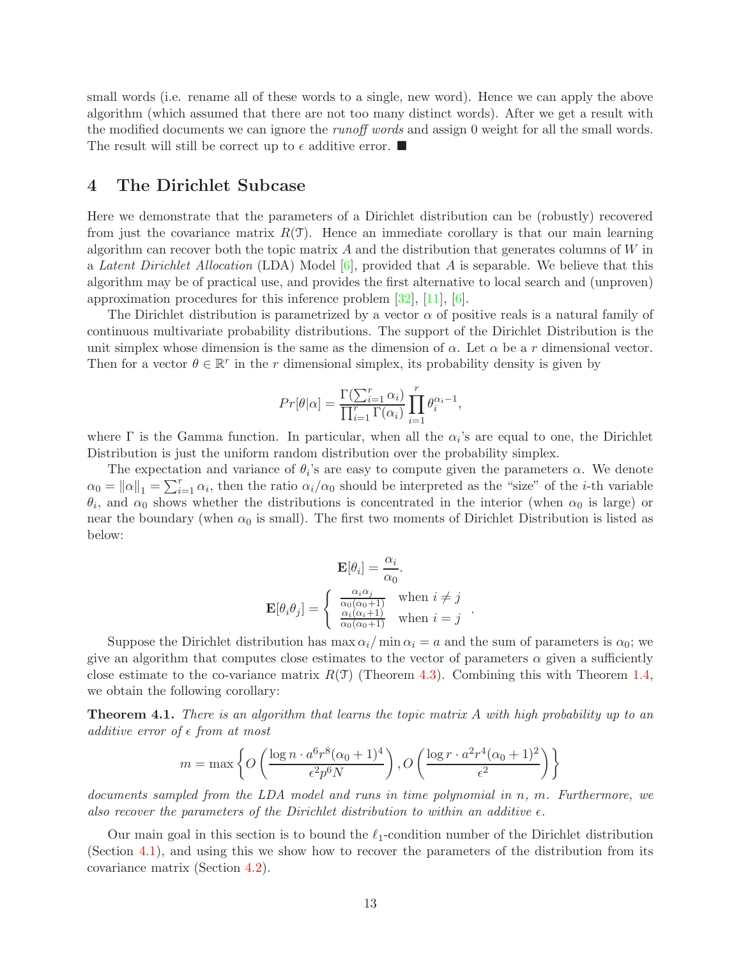small words (i.e. rename all of these words to a single, new word). Hence we can apply the above algorithm (which assumed that there are not too many distinct words). After we get a result with the modified documents we can ignore the *runoff words* and assign 0 weight for all the small words. The result will still be correct up to  $\epsilon$  additive error.  $\blacksquare$ 

# <span id="page-13-0"></span>4 The Dirichlet Subcase

Here we demonstrate that the parameters of a Dirichlet distribution can be (robustly) recovered from just the covariance matrix  $R(\mathcal{T})$ . Hence an immediate corollary is that our main learning algorithm can recover both the topic matrix  $A$  and the distribution that generates columns of  $W$  in a Latent Dirichlet Allocation (LDA) Model  $[6]$ , provided that A is separable. We believe that this algorithm may be of practical use, and provides the first alternative to local search and (unproven) approximation procedures for this inference problem [\[32\]](#page-20-1), [\[11\]](#page-19-3), [\[6\]](#page-19-2).

The Dirichlet distribution is parametrized by a vector  $\alpha$  of positive reals is a natural family of continuous multivariate probability distributions. The support of the Dirichlet Distribution is the unit simplex whose dimension is the same as the dimension of  $\alpha$ . Let  $\alpha$  be a r dimensional vector. Then for a vector  $\theta \in \mathbb{R}^r$  in the r dimensional simplex, its probability density is given by

$$
Pr[\theta|\alpha] = \frac{\Gamma(\sum_{i=1}^{r} \alpha_i)}{\prod_{i=1}^{r} \Gamma(\alpha_i)} \prod_{i=1}^{r} \theta_i^{\alpha_i - 1},
$$

where  $\Gamma$  is the Gamma function. In particular, when all the  $\alpha_i$ 's are equal to one, the Dirichlet Distribution is just the uniform random distribution over the probability simplex.

The expectation and variance of  $\theta_i$ 's are easy to compute given the parameters  $\alpha$ . We denote  $\alpha_0 = ||\alpha||_1 = \sum_{i=1}^r \alpha_i$ , then the ratio  $\alpha_i/\alpha_0$  should be interpreted as the "size" of the *i*-th variable  $\theta_i$ , and  $\alpha_0$  shows whether the distributions is concentrated in the interior (when  $\alpha_0$  is large) or near the boundary (when  $\alpha_0$  is small). The first two moments of Dirichlet Distribution is listed as below:

$$
\mathbf{E}[\theta_i] = \frac{\alpha_i}{\alpha_0}.
$$

$$
\mathbf{E}[\theta_i \theta_j] = \begin{cases} \frac{\alpha_i \alpha_j}{\alpha_0 (\alpha_0 + 1)} & \text{when } i \neq j \\ \frac{\alpha_i (\alpha_i + 1)}{\alpha_0 (\alpha_0 + 1)} & \text{when } i = j \end{cases}.
$$

Suppose the Dirichlet distribution has max  $\alpha_i/m$ in  $\alpha_i = a$  and the sum of parameters is  $\alpha_0$ ; we give an algorithm that computes close estimates to the vector of parameters  $\alpha$  given a sufficiently close estimate to the co-variance matrix  $R(\mathcal{T})$  (Theorem [4.3\)](#page-14-2). Combining this with Theorem [1.4,](#page-3-0) we obtain the following corollary:

**Theorem 4.1.** There is an algorithm that learns the topic matrix A with high probability up to an additive error of  $\epsilon$  from at most

$$
m = \max \left\{ O\left(\frac{\log n \cdot a^6 r^8 (\alpha_0 + 1)^4}{\epsilon^2 p^6 N}\right), O\left(\frac{\log r \cdot a^2 r^4 (\alpha_0 + 1)^2}{\epsilon^2}\right) \right\}
$$

documents sampled from the LDA model and runs in time polynomial in n, m. Furthermore, we also recover the parameters of the Dirichlet distribution to within an additive  $\epsilon$ .

Our main goal in this section is to bound the  $\ell_1$ -condition number of the Dirichlet distribution (Section [4.1\)](#page-14-0), and using this we show how to recover the parameters of the distribution from its covariance matrix (Section [4.2\)](#page-14-1).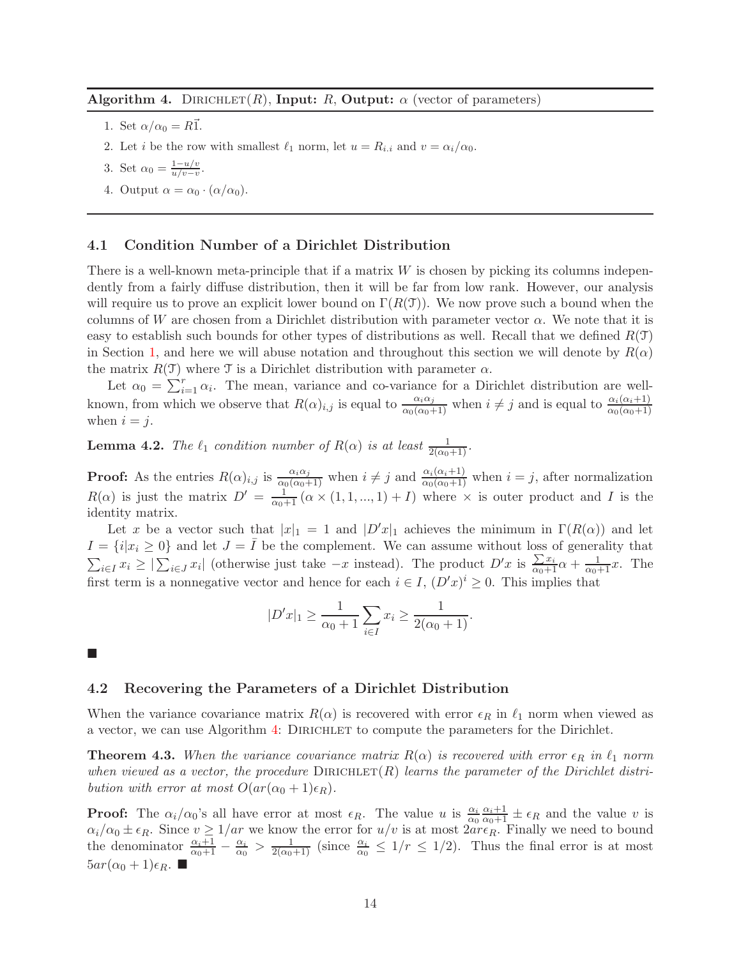### <span id="page-14-3"></span>Algorithm 4. DIRICHLET(R), Input: R, Output:  $\alpha$  (vector of parameters)

- 1. Set  $\alpha/\alpha_0 = R\overline{1}$ .
- 2. Let *i* be the row with smallest  $\ell_1$  norm, let  $u = R_{i,i}$  and  $v = \alpha_i/\alpha_0$ .

3. Set 
$$
\alpha_0 = \frac{1 - u/v}{u/v - v}
$$
.

4. Output  $\alpha = \alpha_0 \cdot (\alpha/\alpha_0)$ .

### <span id="page-14-0"></span>4.1 Condition Number of a Dirichlet Distribution

There is a well-known meta-principle that if a matrix  $W$  is chosen by picking its columns independently from a fairly diffuse distribution, then it will be far from low rank. However, our analysis will require us to prove an explicit lower bound on  $\Gamma(R(\mathcal{T}))$ . We now prove such a bound when the columns of W are chosen from a Dirichlet distribution with parameter vector  $\alpha$ . We note that it is easy to establish such bounds for other types of distributions as well. Recall that we defined  $R(\mathcal{T})$ in Section [1,](#page-1-0) and here we will abuse notation and throughout this section we will denote by  $R(\alpha)$ the matrix  $R(\mathcal{T})$  where  $\mathcal{T}$  is a Dirichlet distribution with parameter  $\alpha$ .

Let  $\alpha_0 = \sum_{i=1}^r \alpha_i$ . The mean, variance and co-variance for a Dirichlet distribution are wellknown, from which we observe that  $R(\alpha)_{i,j}$  is equal to  $\frac{\alpha_i \alpha_j}{\alpha_0(\alpha_0+1)}$  when  $i \neq j$  and is equal to  $\frac{\alpha_i(\alpha_i+1)}{\alpha_0(\alpha_0+1)}$ when  $i = j$ .

**Lemma 4.2.** The  $\ell_1$  condition number of  $R(\alpha)$  is at least  $\frac{1}{2(\alpha_0+1)}$ .

**Proof:** As the entries  $R(\alpha)_{i,j}$  is  $\frac{\alpha_i \alpha_j}{\alpha_0(\alpha_0+1)}$  when  $i \neq j$  and  $\frac{\alpha_i(\alpha_i+1)}{\alpha_0(\alpha_0+1)}$  when  $i = j$ , after normalization  $R(\alpha)$  is just the matrix  $D' = \frac{1}{\alpha_0+1} (\alpha \times (1,1,...,1) + I)$  where  $\times$  is outer product and I is the identity matrix.

Let x be a vector such that  $|x|_1 = 1$  and  $|D'x|_1$  achieves the minimum in  $\Gamma(R(\alpha))$  and let  $I = \{i | x_i \geq 0\}$  and let  $J = \overline{I}$  be the complement. We can assume without loss of generality that  $\sum_{i\in I} x_i \geq |\sum_{i\in J} x_i|$  (otherwise just take  $-x$  instead). The product  $D'x$  is  $\frac{\sum x_i}{\alpha_0+1}\alpha + \frac{1}{\alpha_0+1}x$ . The first term is a nonnegative vector and hence for each  $i \in I$ ,  $(D'x)^{i} \geq 0$ . This implies that

$$
|D'x|_1 \ge \frac{1}{\alpha_0 + 1} \sum_{i \in I} x_i \ge \frac{1}{2(\alpha_0 + 1)}.
$$

<span id="page-14-1"></span> $\Box$ 

### 4.2 Recovering the Parameters of a Dirichlet Distribution

When the variance covariance matrix  $R(\alpha)$  is recovered with error  $\epsilon_R$  in  $\ell_1$  norm when viewed as a vector, we can use Algorithm [4:](#page-14-3) DIRICHLET to compute the parameters for the Dirichlet.

<span id="page-14-2"></span>**Theorem 4.3.** When the variance covariance matrix  $R(\alpha)$  is recovered with error  $\epsilon_R$  in  $\ell_1$  norm when viewed as a vector, the procedure  $DIRICHLET(R)$  learns the parameter of the Dirichlet distribution with error at most  $O(ar(\alpha_0+1)\epsilon_R)$ .

**Proof:** The  $\alpha_i/\alpha_0$ 's all have error at most  $\epsilon_R$ . The value u is  $\frac{\alpha_i}{\alpha_0} \frac{\alpha_i+1}{\alpha_0+1} \pm \epsilon_R$  and the value v is  $\alpha_i/\alpha_0 \pm \epsilon_R$ . Since  $v \ge 1/ar$  we know the error for  $u/v$  is at most  $2ar\epsilon_R$ . Finally we need to bound the denominator  $\frac{\alpha_i+1}{\alpha_0+1}-\frac{\alpha_i}{\alpha_0} > \frac{1}{2(\alpha_0+1)}$  (since  $\frac{\alpha_i}{\alpha_0} \leq 1/r \leq 1/2$ ). Thus the final error is at most  $5ar(\alpha_0+1)\epsilon_R$ .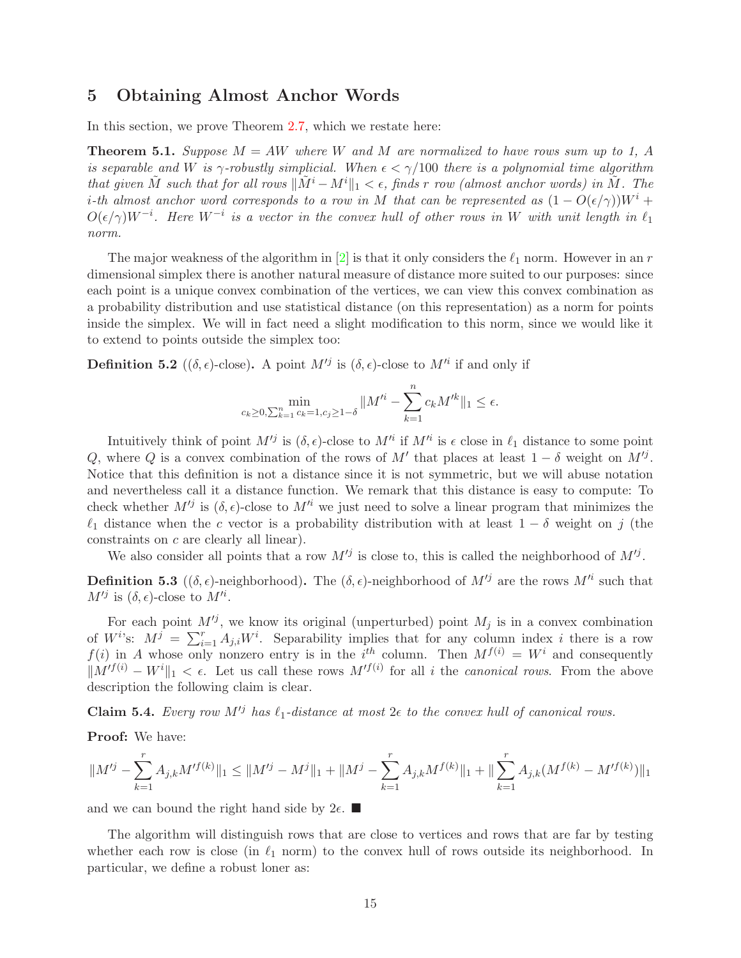# <span id="page-15-0"></span>5 Obtaining Almost Anchor Words

In this section, we prove Theorem [2.7,](#page-6-1) which we restate here:

<span id="page-15-2"></span>**Theorem 5.1.** Suppose  $M = AW$  where W and M are normalized to have rows sum up to 1, A is separable and W is  $\gamma$ -robustly simplicial. When  $\epsilon < \gamma/100$  there is a polynomial time algorithm that given  $\tilde{M}$  such that for all rows  $\|\tilde{M}^i - M^i\|_1 < \epsilon$ , finds r row (almost anchor words) in  $\tilde{M}$ . The i-th almost anchor word corresponds to a row in M that can be represented as  $(1 - O(\epsilon/\gamma))W^i$  +  $O(\epsilon/\gamma)W^{-i}$ . Here  $W^{-i}$  is a vector in the convex hull of other rows in W with unit length in  $\ell_1$ norm.

The major weakness of the algorithm in [\[2\]](#page-19-4) is that it only considers the  $\ell_1$  norm. However in an r dimensional simplex there is another natural measure of distance more suited to our purposes: since each point is a unique convex combination of the vertices, we can view this convex combination as a probability distribution and use statistical distance (on this representation) as a norm for points inside the simplex. We will in fact need a slight modification to this norm, since we would like it to extend to points outside the simplex too:

**Definition 5.2** (( $\delta$ , $\epsilon$ )-close). A point  $M'^{j}$  is ( $\delta$ , $\epsilon$ )-close to  $M'^{i}$  if and only if

$$
\min_{c_k \ge 0, \sum_{k=1}^n c_k = 1, c_j \ge 1 - \delta} \|M'^i - \sum_{k=1}^n c_k M'^k\|_1 \le \epsilon.
$$

Intuitively think of point  $M'^j$  is  $(\delta, \epsilon)$ -close to  $M'^i$  if  $M'^i$  is  $\epsilon$  close in  $\ell_1$  distance to some point Q, where Q is a convex combination of the rows of M' that places at least  $1 - \delta$  weight on  $M'^j$ . Notice that this definition is not a distance since it is not symmetric, but we will abuse notation and nevertheless call it a distance function. We remark that this distance is easy to compute: To check whether  $M'^{j}$  is  $(\delta, \epsilon)$ -close to  $M'^{i}$  we just need to solve a linear program that minimizes the  $\ell_1$  distance when the c vector is a probability distribution with at least  $1 - \delta$  weight on j (the constraints on c are clearly all linear).

We also consider all points that a row  $M'^{j}$  is close to, this is called the neighborhood of  $M'^{j}$ .

**Definition 5.3** (( $\delta$ , $\epsilon$ )-neighborhood). The ( $\delta$ , $\epsilon$ )-neighborhood of  $M'^{j}$  are the rows  $M'^{i}$  such that  $M'^j$  is  $(\delta, \epsilon)$ -close to  $M'^i$ .

For each point  $M^{ij}$ , we know its original (unperturbed) point  $M_j$  is in a convex combination of  $W^{i}$ 's:  $M^{j} = \sum_{i=1}^{r} A_{j,i} W^{i}$ . Separability implies that for any column index i there is a row  $f(i)$  in A whose only nonzero entry is in the i<sup>th</sup> column. Then  $M^{f(i)} = W^i$  and consequently  $||M'^{f(i)} - W^{i}||_1 < \epsilon$ . Let us call these rows  $M'^{f(i)}$  for all i the *canonical rows*. From the above description the following claim is clear.

<span id="page-15-1"></span>Claim 5.4. Every row  $M^{j}$  has  $\ell_1$ -distance at most  $2\epsilon$  to the convex hull of canonical rows.

Proof: We have:

$$
||M'^j - \sum_{k=1}^r A_{j,k} M'^{f(k)}||_1 \le ||M'^j - M^j||_1 + ||M^j - \sum_{k=1}^r A_{j,k} M^{f(k)}||_1 + ||\sum_{k=1}^r A_{j,k} (M^{f(k)} - M'^{f(k)})||_1
$$

and we can bound the right hand side by  $2\epsilon$ .

The algorithm will distinguish rows that are close to vertices and rows that are far by testing whether each row is close (in  $\ell_1$  norm) to the convex hull of rows outside its neighborhood. In particular, we define a robust loner as: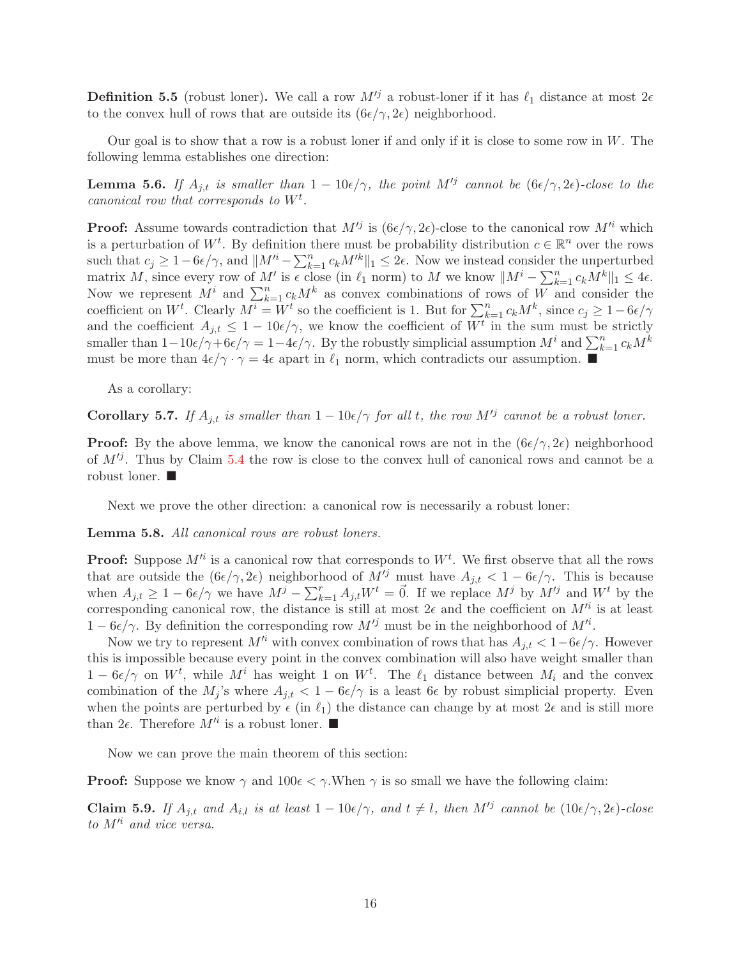**Definition 5.5** (robust loner). We call a row  $M^{j}$  a robust-loner if it has  $\ell_1$  distance at most  $2\epsilon$ to the convex hull of rows that are outside its  $(6\epsilon/\gamma, 2\epsilon)$  neighborhood.

Our goal is to show that a row is a robust loner if and only if it is close to some row in  $W$ . The following lemma establishes one direction:

<span id="page-16-0"></span>**Lemma 5.6.** If  $A_{j,t}$  is smaller than  $1 - 10\epsilon/\gamma$ , the point  $M^{tj}$  cannot be  $(6\epsilon/\gamma, 2\epsilon)$ -close to the canonical row that corresponds to  $W^t$ .

**Proof:** Assume towards contradiction that  $M'^{j}$  is  $(6\epsilon/\gamma, 2\epsilon)$ -close to the canonical row  $M'^{i}$  which is a perturbation of  $W^t$ . By definition there must be probability distribution  $c \in \mathbb{R}^n$  over the rows such that  $c_j \geq 1-6\epsilon/\gamma$ , and  $||M'^i - \sum_{k=1}^n c_k M'^k||_1 \leq 2\epsilon$ . Now we instead consider the unperturbed matrix M, since every row of M' is  $\epsilon$  close (in  $\ell_1$  norm) to M we know  $||M^i - \sum_{k=1}^n c_k M^k||_1 \leq 4\epsilon$ . Now we represent  $M^i$  and  $\sum_{k=1}^n c_k M^k$  as convex combinations of rows of W and consider the coefficient on  $W^t$ . Clearly  $M^i = W^t$  so the coefficient is 1. But for  $\sum_{k=1}^n c_k M^k$ , since  $c_j \geq 1-6\epsilon/\gamma$ and the coefficient  $A_{j,t} \leq 1 - 10\epsilon/\gamma$ , we know the coefficient of  $W^t$  in the sum must be strictly smaller than  $1-10\epsilon/\gamma+6\epsilon/\gamma = 1-4\epsilon/\gamma$ . By the robustly simplicial assumption  $M^i$  and  $\sum_{k=1}^n c_k M^k$ must be more than  $4\epsilon/\gamma \cdot \gamma = 4\epsilon$  apart in  $\ell_1$  norm, which contradicts our assumption.

As a corollary:

**Corollary 5.7.** If  $A_{j,t}$  is smaller than  $1 - 10\epsilon/\gamma$  for all t, the row  $M'^{j}$  cannot be a robust loner.

**Proof:** By the above lemma, we know the canonical rows are not in the  $(6\epsilon/\gamma, 2\epsilon)$  neighborhood of  $M^{ij}$ . Thus by Claim [5.4](#page-15-1) the row is close to the convex hull of canonical rows and cannot be a robust loner.

Next we prove the other direction: a canonical row is necessarily a robust loner:

Lemma 5.8. All canonical rows are robust loners.

**Proof:** Suppose  $M'^i$  is a canonical row that corresponds to  $W^t$ . We first observe that all the rows that are outside the  $(6\epsilon/\gamma, 2\epsilon)$  neighborhood of  $M'^{j}$  must have  $A_{i,t} < 1 - 6\epsilon/\gamma$ . This is because when  $A_{j,t} \geq 1 - 6\epsilon/\gamma$  we have  $M^j - \sum_{k=1}^r A_{j,t} W^t = \vec{0}$ . If we replace  $M^j$  by  $M'^j$  and  $W^t$  by the corresponding canonical row, the distance is still at most  $2\epsilon$  and the coefficient on  $M'^i$  is at least  $1-6\epsilon/\gamma$ . By definition the corresponding row  $M'^{j}$  must be in the neighborhood of  $M'^{i}$ .

Now we try to represent  $M'^i$  with convex combination of rows that has  $A_{i,t} < 1-6\epsilon/\gamma$ . However this is impossible because every point in the convex combination will also have weight smaller than  $1-6\epsilon/\gamma$  on  $W^t$ , while  $M^i$  has weight 1 on  $W^t$ . The  $\ell_1$  distance between  $M_i$  and the convex combination of the  $M_i$ 's where  $A_{i,t} < 1 - 6\epsilon/\gamma$  is a least 6 $\epsilon$  by robust simplicial property. Even when the points are perturbed by  $\epsilon$  (in  $\ell_1$ ) the distance can change by at most  $2\epsilon$  and is still more than  $2\epsilon$ . Therefore  $M'^i$  is a robust loner.

Now we can prove the main theorem of this section:

**Proof:** Suppose we know  $\gamma$  and  $100\epsilon < \gamma$ . When  $\gamma$  is so small we have the following claim:

**Claim 5.9.** If  $A_{j,t}$  and  $A_{i,l}$  is at least  $1-10\epsilon/\gamma$ , and  $t \neq l$ , then  $M'^{j}$  cannot be  $(10\epsilon/\gamma, 2\epsilon)$ -close to  $M'^i$  and vice versa.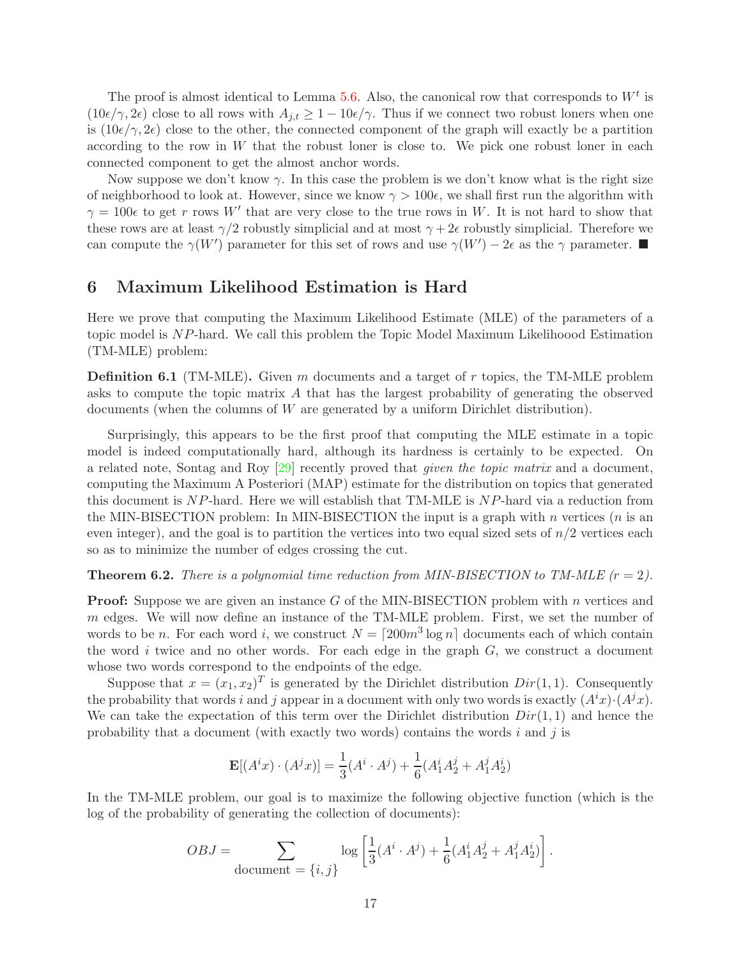The proof is almost identical to Lemma [5.6.](#page-16-0) Also, the canonical row that corresponds to  $W<sup>t</sup>$  is  $(10\epsilon/\gamma, 2\epsilon)$  close to all rows with  $A_{j,t} \geq 1 - 10\epsilon/\gamma$ . Thus if we connect two robust loners when one is  $(10\epsilon/\gamma, 2\epsilon)$  close to the other, the connected component of the graph will exactly be a partition according to the row in  $W$  that the robust loner is close to. We pick one robust loner in each connected component to get the almost anchor words.

Now suppose we don't know  $\gamma$ . In this case the problem is we don't know what is the right size of neighborhood to look at. However, since we know  $\gamma > 100\epsilon$ , we shall first run the algorithm with  $\gamma = 100\epsilon$  to get r rows W' that are very close to the true rows in W. It is not hard to show that these rows are at least  $\gamma/2$  robustly simplicial and at most  $\gamma + 2\epsilon$  robustly simplicial. Therefore we can compute the  $\gamma(W')$  parameter for this set of rows and use  $\gamma(W') - 2\epsilon$  as the  $\gamma$  parameter.

# <span id="page-17-0"></span>6 Maximum Likelihood Estimation is Hard

Here we prove that computing the Maximum Likelihood Estimate (MLE) of the parameters of a topic model is NP-hard. We call this problem the Topic Model Maximum Likelihoood Estimation (TM-MLE) problem:

<span id="page-17-1"></span>**Definition 6.1** (TM-MLE). Given m documents and a target of r topics, the TM-MLE problem asks to compute the topic matrix A that has the largest probability of generating the observed documents (when the columns of W are generated by a uniform Dirichlet distribution).

Surprisingly, this appears to be the first proof that computing the MLE estimate in a topic model is indeed computationally hard, although its hardness is certainly to be expected. On a related note, Sontag and Roy  $[29]$  recently proved that *given the topic matrix* and a document, computing the Maximum A Posteriori (MAP) estimate for the distribution on topics that generated this document is NP-hard. Here we will establish that TM-MLE is NP-hard via a reduction from the MIN-BISECTION problem: In MIN-BISECTION the input is a graph with  $n$  vertices  $(n \text{ is an})$ even integer), and the goal is to partition the vertices into two equal sized sets of  $n/2$  vertices each so as to minimize the number of edges crossing the cut.

**Theorem 6.2.** There is a polynomial time reduction from MIN-BISECTION to TM-MLE  $(r = 2)$ .

**Proof:** Suppose we are given an instance G of the MIN-BISECTION problem with n vertices and m edges. We will now define an instance of the TM-MLE problem. First, we set the number of words to be *n*. For each word *i*, we construct  $N = \lceil 200m^3 \log n \rceil$  documents each of which contain the word  $i$  twice and no other words. For each edge in the graph  $G$ , we construct a document whose two words correspond to the endpoints of the edge.

Suppose that  $x = (x_1, x_2)^T$  is generated by the Dirichlet distribution  $Dir(1, 1)$ . Consequently the probability that words i and j appear in a document with only two words is exactly  $(A^{i}x) \cdot (A^{j}x)$ . We can take the expectation of this term over the Dirichlet distribution  $Dir(1, 1)$  and hence the probability that a document (with exactly two words) contains the words  $i$  and  $j$  is

$$
\mathbf{E}[(A^i x) \cdot (A^j x)] = \frac{1}{3}(A^i \cdot A^j) + \frac{1}{6}(A^i_1 A^j_2 + A^j_1 A^i_2)
$$

In the TM-MLE problem, our goal is to maximize the following objective function (which is the log of the probability of generating the collection of documents):

$$
OBJ = \sum_{\text{document} = \{i, j\}} \log \left[ \frac{1}{3} (A^i \cdot A^j) + \frac{1}{6} (A_1^i A_2^j + A_1^j A_2^i) \right].
$$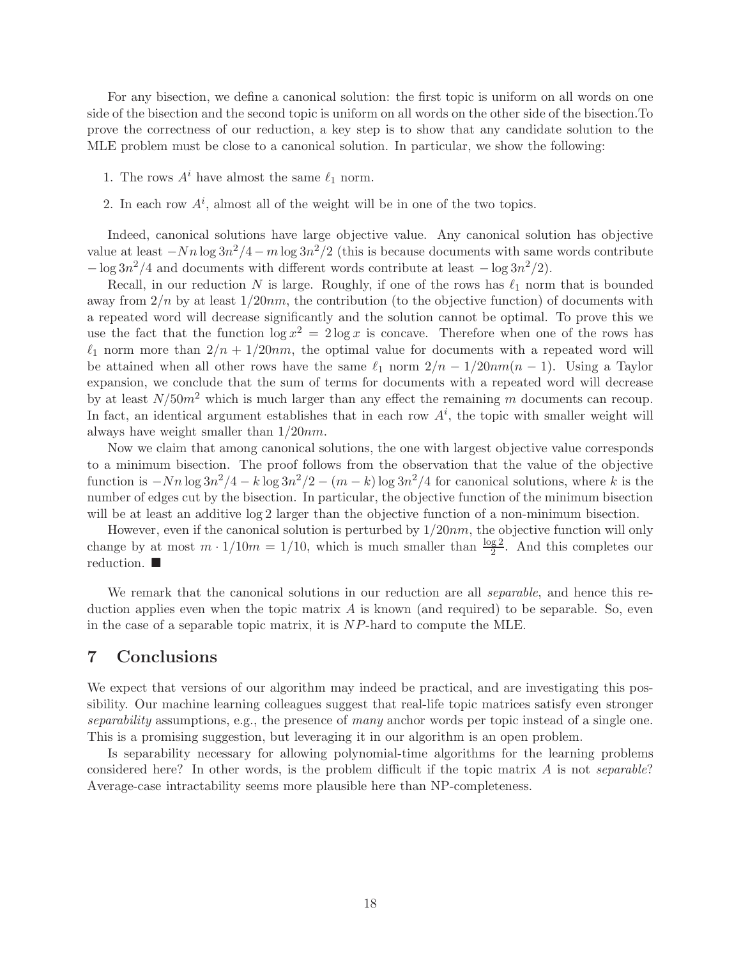For any bisection, we define a canonical solution: the first topic is uniform on all words on one side of the bisection and the second topic is uniform on all words on the other side of the bisection.To prove the correctness of our reduction, a key step is to show that any candidate solution to the MLE problem must be close to a canonical solution. In particular, we show the following:

- 1. The rows  $A^i$  have almost the same  $\ell_1$  norm.
- 2. In each row  $A^i$ , almost all of the weight will be in one of the two topics.

Indeed, canonical solutions have large objective value. Any canonical solution has objective value at least  $-Nn \log 3n^2/4 - m \log 3n^2/2$  (this is because documents with same words contribute  $-\log 3n^2/4$  and documents with different words contribute at least  $-\log 3n^2/2$ .

Recall, in our reduction N is large. Roughly, if one of the rows has  $\ell_1$  norm that is bounded away from  $2/n$  by at least  $1/20nm$ , the contribution (to the objective function) of documents with a repeated word will decrease significantly and the solution cannot be optimal. To prove this we use the fact that the function  $\log x^2 = 2 \log x$  is concave. Therefore when one of the rows has  $\ell_1$  norm more than  $2/n + 1/20nm$ , the optimal value for documents with a repeated word will be attained when all other rows have the same  $\ell_1$  norm  $2/n - 1/20nm(n - 1)$ . Using a Taylor expansion, we conclude that the sum of terms for documents with a repeated word will decrease by at least  $N/50m^2$  which is much larger than any effect the remaining m documents can recoup. In fact, an identical argument establishes that in each row  $A^i$ , the topic with smaller weight will always have weight smaller than  $1/20nm$ .

Now we claim that among canonical solutions, the one with largest objective value corresponds to a minimum bisection. The proof follows from the observation that the value of the objective function is  $-Nn \log 3n^2/4 - k \log 3n^2/2 - (m - k) \log 3n^2/4$  for canonical solutions, where k is the number of edges cut by the bisection. In particular, the objective function of the minimum bisection will be at least an additive log 2 larger than the objective function of a non-minimum bisection.

However, even if the canonical solution is perturbed by  $1/20nm$ , the objective function will only change by at most  $m \cdot 1/10m = 1/10$ , which is much smaller than  $\frac{\log 2}{2}$ . And this completes our reduction.

We remark that the canonical solutions in our reduction are all *separable*, and hence this reduction applies even when the topic matrix  $A$  is known (and required) to be separable. So, even in the case of a separable topic matrix, it is NP-hard to compute the MLE.

# 7 Conclusions

We expect that versions of our algorithm may indeed be practical, and are investigating this possibility. Our machine learning colleagues suggest that real-life topic matrices satisfy even stronger separability assumptions, e.g., the presence of many anchor words per topic instead of a single one. This is a promising suggestion, but leveraging it in our algorithm is an open problem.

Is separability necessary for allowing polynomial-time algorithms for the learning problems considered here? In other words, is the problem difficult if the topic matrix  $A$  is not separable? Average-case intractability seems more plausible here than NP-completeness.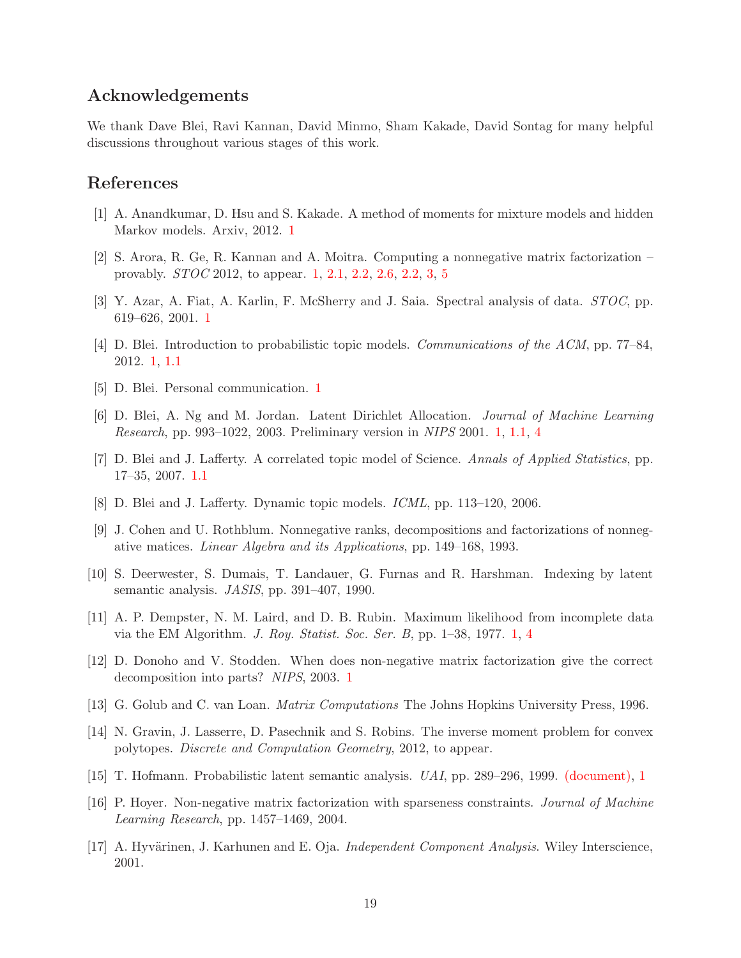# Acknowledgements

We thank Dave Blei, Ravi Kannan, David Minmo, Sham Kakade, David Sontag for many helpful discussions throughout various stages of this work.

# <span id="page-19-5"></span>References

- <span id="page-19-4"></span>[1] A. Anandkumar, D. Hsu and S. Kakade. A method of moments for mixture models and hidden Markov models. Arxiv, 2012. [1](#page-1-0)
- <span id="page-19-6"></span>[2] S. Arora, R. Ge, R. Kannan and A. Moitra. Computing a nonnegative matrix factorization – provably. STOC 2012, to appear. [1,](#page-1-0) [2.1,](#page-5-1) [2.2,](#page-5-3) [2.6,](#page-5-2) [2.2,](#page-5-2) [3,](#page-6-0) [5](#page-15-2)
- <span id="page-19-1"></span>[3] Y. Azar, A. Fiat, A. Karlin, F. McSherry and J. Saia. Spectral analysis of data. STOC, pp. 619–626, 2001. [1](#page-1-0)
- <span id="page-19-8"></span>[4] D. Blei. Introduction to probabilistic topic models. *Communications of the ACM*, pp. 77–84, 2012. [1,](#page-1-0) [1.1](#page-3-0)
- <span id="page-19-2"></span>[5] D. Blei. Personal communication. [1](#page-1-0)
- <span id="page-19-9"></span>[6] D. Blei, A. Ng and M. Jordan. Latent Dirichlet Allocation. Journal of Machine Learning Research, pp. 993–1022, 2003. Preliminary version in NIPS 2001. [1,](#page-1-0) [1.1,](#page-3-0) [4](#page-13-0)
- [7] D. Blei and J. Lafferty. A correlated topic model of Science. Annals of Applied Statistics, pp. 17–35, 2007. [1.1](#page-3-0)
- [8] D. Blei and J. Lafferty. Dynamic topic models. ICML, pp. 113–120, 2006.
- [9] J. Cohen and U. Rothblum. Nonnegative ranks, decompositions and factorizations of nonnegative matices. Linear Algebra and its Applications, pp. 149–168, 1993.
- [10] S. Deerwester, S. Dumais, T. Landauer, G. Furnas and R. Harshman. Indexing by latent semantic analysis. JASIS, pp. 391–407, 1990.
- <span id="page-19-7"></span><span id="page-19-3"></span>[11] A. P. Dempster, N. M. Laird, and D. B. Rubin. Maximum likelihood from incomplete data via the EM Algorithm. J. Roy. Statist. Soc. Ser. B, pp. 1–38, 1977. [1,](#page-1-0) [4](#page-13-0)
- [12] D. Donoho and V. Stodden. When does non-negative matrix factorization give the correct decomposition into parts? NIPS, 2003. [1](#page-1-0)
- [13] G. Golub and C. van Loan. Matrix Computations The Johns Hopkins University Press, 1996.
- <span id="page-19-0"></span>[14] N. Gravin, J. Lasserre, D. Pasechnik and S. Robins. The inverse moment problem for convex polytopes. Discrete and Computation Geometry, 2012, to appear.
- [15] T. Hofmann. Probabilistic latent semantic analysis. UAI, pp. 289–296, 1999. [\(document\),](#page-0-0) [1](#page-1-0)
- [16] P. Hoyer. Non-negative matrix factorization with sparseness constraints. Journal of Machine Learning Research, pp. 1457–1469, 2004.
- [17] A. Hyvärinen, J. Karhunen and E. Oja. *Independent Component Analysis*. Wiley Interscience, 2001.